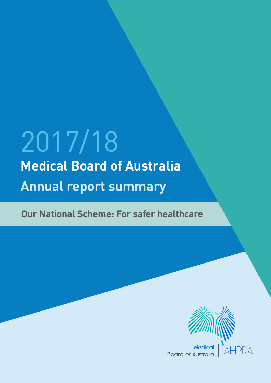# 2017/18 **Medical Board of Australia Annual report summary**

**Our National Scheme: For safer healthcare**



**AHPRA** 

Medica **Board of Australia**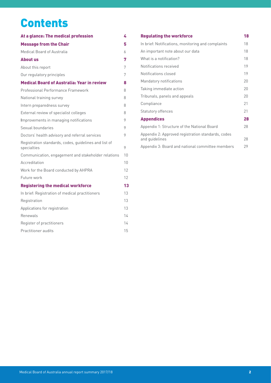# **Contents**

| 4  |
|----|
| 5  |
| 6  |
| 7  |
| 7  |
| 7  |
| 8  |
| 8  |
| 8  |
| 8  |
| 8  |
| 9  |
| 9  |
| 9  |
| 9  |
| 10 |
| 10 |
| 12 |
| 12 |
| 13 |
| 13 |
| 13 |
| 13 |
| 14 |
| 14 |
| 15 |
|    |

| <b>Regulating the workforce</b>                                      | 18 |
|----------------------------------------------------------------------|----|
| In brief: Notifications, monitoring and complaints                   | 18 |
| An important note about our data                                     | 18 |
| What is a notification?                                              | 18 |
| Notifications received                                               | 19 |
| Notifications closed                                                 | 19 |
| Mandatory notifications                                              | 20 |
| Taking immediate action                                              | 20 |
| Tribunals, panels and appeals                                        | 20 |
| Compliance                                                           | 21 |
| Statutory offences                                                   | 21 |
| <b>Appendices</b>                                                    | 28 |
| Appendix 1: Structure of the National Board                          | 28 |
| Appendix 2: Approved registration standards, codes<br>and quidelines | 28 |
| Appendix 3: Board and national committee members                     | 29 |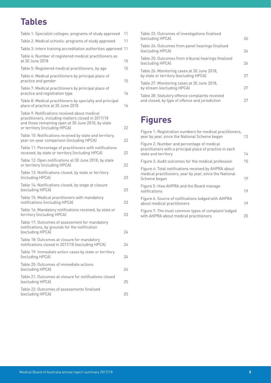# **Tables**

| Table 1: Specialist colleges: programs of study approved                                                                                                                                   | 11 |
|--------------------------------------------------------------------------------------------------------------------------------------------------------------------------------------------|----|
| Table 2: Medical schools: programs of study approved                                                                                                                                       | 11 |
| Table 3: Intern training accreditation authorities approved                                                                                                                                | 11 |
| Table 4: Number of registered medical practitioners as<br>at 30 June 2018                                                                                                                  | 15 |
| Table 5: Registered medical practitioners, by age                                                                                                                                          | 15 |
| Table 6: Medical practitioners by principal place of<br>practice and gender                                                                                                                | 15 |
| Table 7: Medical practitioners by principal place of<br>practice and registration type                                                                                                     | 16 |
| Table 8: Medical practitioners by specialty and principal<br>place of practice at 30 June 2018                                                                                             | 16 |
| Table 9: Notifications received about medical<br>practitioners, including matters closed in 2017/18<br>and those remaining open at 30 June 2018, by state<br>or territory (including HPCA) | 22 |
| Table 10: Notifications received by state and territory;<br>year-on-year comparison (including HPCA)                                                                                       | 22 |
| Table 11: Percentage of practitioners with notifications<br>received, by state or territory (including HPCA)                                                                               | 22 |
| Table 12: Open notifications at 30 June 2018, by state<br>or territory (including HPCA)                                                                                                    | 22 |
| Table 13: Notifications closed, by state or territory<br>(including HPCA)                                                                                                                  | 23 |
| Table 14: Notifications closed, by stage at closure<br>(excluding HPCA)                                                                                                                    | 23 |
| Table 15: Medical practitioners with mandatory<br>notifications (including HPCA)                                                                                                           | 23 |
| Table 16: Mandatory notifications received, by state or<br>territory (including HPCA)                                                                                                      | 23 |
| Table 17: Outcomes of assessment for mandatory<br>notifications, by grounds for the notification<br>(excluding HPCA)                                                                       | 24 |
| Table 18: Outcomes at closure for mandatory<br>notifications closed in 2017/18 (excluding HPCA)                                                                                            | 24 |
| Table 19: Immediate action cases by state or territory<br>(including HPCA)                                                                                                                 | 24 |
| Table 20: Outcomes of immediate actions<br>(excluding HPCA)                                                                                                                                | 24 |
| Table 21: Outcomes at closure for notifications closed<br>(excluding HPCA)                                                                                                                 | 25 |
| Table 22: Outcomes of assessments finalised<br>(excluding HPCA)                                                                                                                            | 25 |

| 26 |
|----|
| 26 |
| 26 |
| 27 |
| 27 |
| 27 |
|    |

# **Figures**

| Figure 1: Registration numbers for medical practitioners,<br>year by year, since the National Scheme began                       | 13 |
|----------------------------------------------------------------------------------------------------------------------------------|----|
| Figure 2: Number and percentage of medical<br>practitioners with a principal place of practice in each<br>state and territory    | 14 |
| Figure 3: Audit outcomes for the medical profession                                                                              | 15 |
| Figure 4: Total notifications received by AHPRA about<br>medical practitioners, year by year, since the National<br>Scheme began | 19 |
| Figure 5: How AHPRA and the Board manage<br>notifications                                                                        | 19 |
| Figure 6: Source of notifications lodged with AHPRA<br>about medical practitioners                                               | 19 |
| Figure 7: The most common types of complaint lodged<br>with AHPRA about medical practitioners                                    | 20 |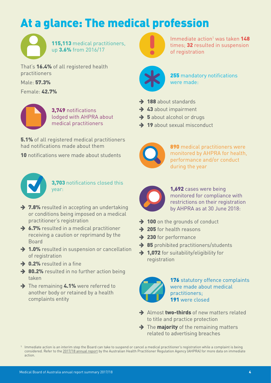# <span id="page-3-0"></span>At a glance: The medical profession



115,113 medical practitioners, up 3.6% from 2016/17

That's 16.4% of all registered health practitioners

Male: 57.3%

Female: 42.7%



3,749 notifications lodged with AHPRA about medical practitioners

**5.1%** of all registered medical practitioners had notifications made about them

10 notifications were made about students



3,703 notifications closed this year:

- $\rightarrow$  7.8% resulted in accepting an undertaking or conditions being imposed on a medical practitioner's registration
- $\rightarrow$  6.7% resulted in a medical practitioner receiving a caution or reprimand by the Board
- $\rightarrow$  1.0% resulted in suspension or cancellation of registration
- $\rightarrow$  0.2% resulted in a fine
- $\rightarrow$  80.2% resulted in no further action being taken
- $\rightarrow$  The remaining 4.1% were referred to another body or retained by a health complaints entity



Immediate action<sup>1</sup> was taken 148 times; 32 resulted in suspension of registration



255 mandatory notifications were made:

- $\rightarrow$  188 about standards
- $\rightarrow$  43 about impairment
- $\rightarrow$  5 about alcohol or drugs
- $\rightarrow$  19 about sexual misconduct



890 medical practitioners were monitored by AHPRA for health, performance and/or conduct during the year



1,692 cases were being monitored for compliance with restrictions on their registration by AHPRA as at 30 June 2018:

- $\rightarrow$  100 on the grounds of conduct
- $\rightarrow$  205 for health reasons
- $\rightarrow$  230 for performance
- $\rightarrow$  85 prohibited practitioners/students
- $\rightarrow$  1.072 for suitability/eligibility for registration

176 statutory offence complaints were made about medical practitioners; 191 were closed

- $\rightarrow$  Almost two-thirds of new matters related to title and practice protection
- $\rightarrow$  The **majority** of the remaining matters related to advertising breaches

<sup>1</sup> Immediate action is an interim step the Board can take to suspend or cancel a medical practitioner's registration while a complaint is being considered. Refer to the [2017/18 annual report](http://www.ahpra.gov.au/annualreport/2018/) by the Australian Health Practitioner Regulation Agency (AHPRA) for more data on immediate action.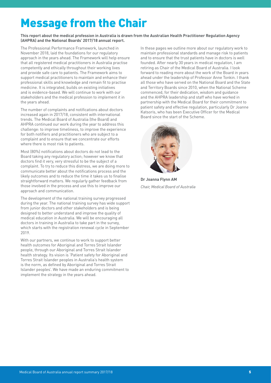# <span id="page-4-0"></span>Message from the Chair

#### **This report about the medical profession in Australia is drawn from the Australian Health Practitioner Regulation Agency (AHPRA) and the National Boards' 2017/18 annual report.**

The Professional Performance Framework, launched in November 2018, laid the foundations for our regulatory approach in the years ahead. The Framework will help ensure that all registered medical practitioners in Australia practise competently and ethically throughout their working lives and provide safe care to patients. The Framework aims to support medical practitioners to maintain and enhance their professional skills and knowledge and remain fit to practise medicine. It is integrated, builds on existing initiatives and is evidence-based. We will continue to work with our stakeholders and the medical profession to implement it in the years ahead.

The number of complaints and notifications about doctors increased again in 2017/18, consistent with international trends. The Medical Board of Australia (the Board) and AHPRA continued our work during the year to address this challenge: to improve timeliness, to improve the experience for both notifiers and practitioners who are subject to a complaint and to ensure that we concentrate our efforts where there is most risk to patients.

Most (80%) notifications about doctors do not lead to the Board taking any regulatory action; however we know that doctors find it very, very stressful to be the subject of a complaint. To try to reduce this distress, we are doing more to communicate better about the notifications process and the likely outcomes and to reduce the time it takes us to finalise straightforward matters. We regularly gather feedback from those involved in the process and use this to improve our approach and communication.

The development of the national training survey progressed during the year. The national training survey has wide support from junior doctors and other stakeholders and is being designed to better understand and improve the quality of medical education in Australia. We will be encouraging all doctors in training in Australia to take part in the survey, which starts with the registration renewal cycle in September 2019.

With our partners, we continue to work to support better health outcomes for Aboriginal and Torres Strait Islander people, through our Aboriginal and Torres Strait Islander health strategy. Its vision is 'Patient safety for Aboriginal and Torres Strait Islander peoples in Australia's health system is the norm, as defined by Aboriginal and Torres Strait Islander peoples'. We have made an enduring commitment to implement the strategy in the years ahead.

In these pages we outline more about our regulatory work to maintain professional standards and manage risk to patients and to ensure that the trust patients have in doctors is well founded. After nearly 30 years in medical regulation, I am retiring as Chair of the Medical Board of Australia. I look forward to reading more about the work of the Board in years ahead under the leadership of Professor Anne Tonkin. I thank all those who have served on the National Board and the State and Territory Boards since 2010, when the National Scheme commenced, for their dedication, wisdom and guidance and the AHPRA leadership and staff who have worked in partnership with the Medical Board for their commitment to patient safety and effective regulation, particularly Dr Joanne Katsoris, who has been Executive Officer for the Medical Board since the start of the Scheme.



**Dr Joanna Flynn AM** *Chair, Medical Board of Australia*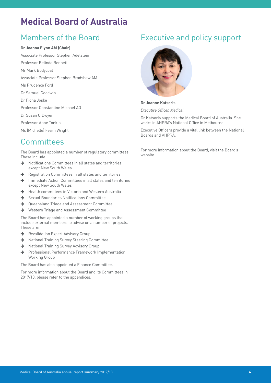# <span id="page-5-0"></span>**Medical Board of Australia**

### Members of the Board

#### **Dr Joanna Flynn AM (Chair)**

- Associate Professor Stephen Adelstein
- Professor Belinda Bennett
- Mr Mark Bodycoat
- Associate Professor Stephen Bradshaw AM
- Ms Prudence Ford
- Dr Samuel Goodwin
- Dr Fiona Joske
- Professor Constantine Michael AO
- Dr Susan O'Dwyer
- Professor Anne Tonkin
- Ms (Michelle) Fearn Wright

### **Committees**

The Board has appointed a number of regulatory committees. These include:

- $\rightarrow$  Notifications Committees in all states and territories except New South Wales
- $\rightarrow$  Registration Committees in all states and territories
- $\rightarrow$  Immediate Action Committees in all states and territories except New South Wales
- $\rightarrow$  Health committees in Victoria and Western Australia
- $\rightarrow$  Sexual Boundaries Notifications Committee
- $\rightarrow$  Queensland Triage and Assessment Committee
- ◆ Western Triage and Assessment Committee

The Board has appointed a number of working groups that include external members to advise on a number of projects. These are:

- Revalidation Expert Advisory Group
- → National Training Survey Steering Committee
- → National Training Survey Advisory Group
- $\rightarrow$  Professional Performance Framework Implementation Working Group

The Board has also appointed a Finance Committee.

For more information about the Board and its Committees in 2017/18, please refer to the appendices.

### Executive and policy support



**Dr Joanne Katsoris**

*Executive Officer, Medical*

Dr Katsoris supports the Medical Board of Australia. She works in AHPRA's National Office in Melbourne.

Executive Officers provide a vital link between the National Boards and AHPRA.

For more information about the Board, visit the Board's [website.](http://www.medicalboard.gov.au)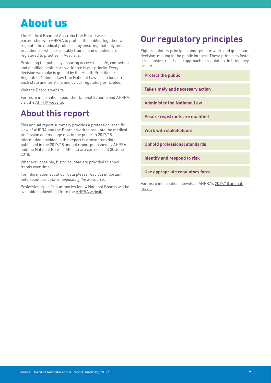# <span id="page-6-0"></span>About us

The Medical Board of Australia (the Board) works in partnership with AHPRA to protect the public. Together, we regulate the medical profession by ensuring that only medical practitioners who are suitably trained and qualified are registered to practise in Australia.

Protecting the public by ensuring access to a safe, competent and qualified healthcare workforce is our priority. Every decision we make is guided by the Health Practitioner Regulation National Law (the National Law), as in force in each state and territory, and by our regulatory principles.

Visit the [Board's website](http://www.medicalboard.gov.au/).

For more information about the National Scheme and AHPRA, visit the [AHPRA website](https://www.ahpra.gov.au/about-ahpra/).

# **About this report**

This annual report summary provides a profession-specific view of AHPRA and the Board's work to regulate the medical profession and manage risk to the public in 2017/18. Information provided in this report is drawn from data published in the 2017/18 annual report published by AHPRA and the National Boards. All data are correct as at 30 June 2018.

Whenever possible, historical data are provided to show trends over time.

For information about our data please read ['An important](#page-17-1)  [note about our data](#page-17-1)' in *Regulating the workforce*.

Profession-specific summaries for 14 National Boards will be available to download from the [AHPRA website](http://www.ahpra.gov.au/annualreport/2018).

# **Our regulatory principles**

Eight [regulatory principles](http://www.ahpra.gov.au/About-AHPRA/Regulatory-principles) underpin our work, and guide our decision-making in the public interest. These principles foster a responsive, risk-based approach to regulation. In brief, they are to:

**Protect the public**

**Take timely and necessary action**

**Administer the National Law**

**Ensure registrants are qualified** 

**Work with stakeholders**

**Uphold professional standards** 

**Identify and respond to risk**

**Use appropriate regulatory force**

For more information, download AHPRA's [2017/18 annual](http://www.ahpra.gov.au/annualreport/2018)  [report](http://www.ahpra.gov.au/annualreport/2018).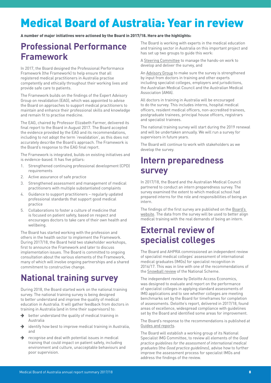# <span id="page-7-0"></span>Medical Board of Australia: Year in review

A number of major initiatives were actioned by the Board in 2017/18. Here are the highlights:

# **Professional Performance Framework**

In 2017, the Board designed the Professional Performance Framework (the Framework) to help ensure that all registered medical practitioners in Australia practise competently and ethically throughout their working lives and provide safe care to patients.

The Framework builds on the findings of the Expert Advisory Group on revalidation (EAG), which was appointed to advise the Board on approaches to support medical practitioners to maintain and enhance their professional skills and knowledge and remain fit to practise medicine.

The EAG, chaired by Professor Elizabeth Farmer, delivered its final report to the Board in August 2017. The Board accepted the evidence provided by the EAG and its recommendations, including to not adopt the term 'revalidation', as this does not accurately describe the Board's approach. The Framework is the Board's response to the EAG final report.

The Framework is integrated, builds on existing initiatives and is evidence-based. It has five pillars:

- 1. Strengthened continuing professional development (CPD) requirements
- 2. Active assurance of safe practice
- 3. Strengthened assessment and management of medical practitioners with multiple substantiated complaints
- 4. Guidance to support practitioners regularly updated professional standards that support good medical practice
- 5. Collaborations to foster a culture of medicine that is focused on patient safety, based on respect and encourages doctors to take care of their own health and wellbeing.

The Board has started working with the profession and others in the health sector to implement the Framework. During 2017/18, the Board held two stakeholder workshops, first to announce the Framework and later to discuss implementation issues. The Board is committed to ongoing consultation about the various elements of the Framework, many of which will involve ongoing partnerships and a shared commitment to constructive change.

# **National training survey**

During 2018, the Board started work on the national training survey. The national training survey is being designed to better understand and improve the quality of medical education in Australia. It will gather feedback from doctors in training in Australia (and in time their supervisors) to:

- $\rightarrow$  better understand the quality of medical training in Australia
- $\rightarrow$  identify how best to improve medical training in Australia, and
- $\rightarrow$  recognise and deal with potential issues in medical training that could impact on patient safety, including environment and culture, unacceptable behaviours and poor supervision.

The Board is working with experts in the medical education and training sector in Australia on this important project and has set up two groups to guide this work:

A [Steering Committee](http://www.medicalboard.gov.au/Registration/National-training-survey.aspx#tor-steeringcomming) to manage the hands-on work to develop and deliver the survey, and

An [Advisory Group](http://www.medicalboard.gov.au/Registration/National-training-survey.aspx#tor-advisorycommittee) to make sure the survey is strengthened by input from doctors in training and other experts including specialist colleges, employers and jurisdictions, the Australian Medical Council and the Australian Medical Association (AMA).

All doctors in training in Australia will be encouraged to do the survey. This includes interns, hospital medical officers, resident medical officers, non-accredited trainees, postgraduate trainees, principal house officers, registrars and specialist trainees.

The national training survey will start during the 2019 renewal and will be undertaken annually. We will run a survey for supervisors in future years.

The Board will continue to work with stakeholders as we develop the survey.

## **Intern preparedness survey**

In 2017/18, the Board and the Australian Medical Council partnered to conduct an intern preparedness survey. The survey examined the extent to which medical school had prepared interns for the role and responsibilities of being an intern.

The findings of the first survey are published on the [Board's](https://www.medicalboard.gov.au/registration/interns/guidelines-resources-tools.aspx)  [website.](https://www.medicalboard.gov.au/registration/interns/guidelines-resources-tools.aspx) The data from the survey will be used to better align medical training with the real demands of being an intern.

# **External review of specialist colleges**

The Board and AHPRA commissioned an independent review of specialist medical colleges' assessment of international medical graduates (IMGs) for specialist recognition in 2016/17. This was in line with one of the recommendations of the [Snowball review](http://www.coaghealthcouncil.gov.au/Publications/Reports/ArtMID/514/ArticleID/68/The-Independent-Review-of-the-National-Registration-and-Accreditation-Scheme-for-health-professionals) of the National Scheme.

The independent review by Deloitte Access Economics, was designed to evaluate and report on the performance of specialist colleges in applying standard assessments of IMG applications and to see whether colleges are meeting benchmarks set by the Board for timeframes for completion of assessments. Deloitte's report, delivered in 2017/18, found areas of excellence, widespread compliance with guidelines set by the Board and identified some areas for improvement.

The Board's response to the recommendations is published at [Guides and reports](http://www.medicalboard.gov.au/Registration/International-Medical-Graduates/Specialist-Pathway/Guides-and-reports.aspx).

The Board will establish a working group of its National Specialist IMG Committee, to review all elements of the *Good practice guidelines for the assessment of international medical graduates* (the *Good practice guidelines*), advise how to further improve the assessment process for specialist IMGs and address the findings of the review.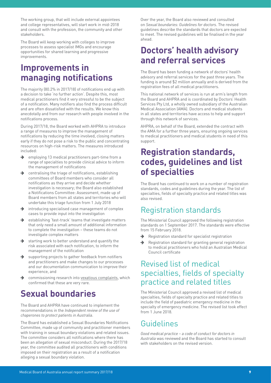<span id="page-8-0"></span>The working group, that will include external appointees and college representatives, will start work in mid-2018 and consult with the profession, the community and other stakeholders.

The Board will keep working with colleges to improve processes to assess specialist IMGs and encourage opportunities for shared learning and progressive improvements.

### **Improvements in managing notifications**

The majority (80.2% in 2017/18) of notifications end up with a decision to take 'no further action'. Despite this, most medical practitioners find it very stressful to be the subject of a notification. Many notifiers also find the process difficult and are often dissatisfied with the results. We know this anecdotally and from our research with people involved in the notifications process.

During 2017/18, the Board worked with AHPRA to introduce a range of measures to improve the management of notifications by reducing the time involved, closing matters early if they do not pose a risk to the public and concentrating resources on high-risk matters. The measures introduced included:

- $\rightarrow$  employing 13 medical practitioners part-time from a range of specialties to provide clinical advice to inform the management of notifications
- $\rightarrow$  centralising the triage of notifications, establishing committees of Board members who consider all notifications as they arrive and decide whether investigation is necessary; the Board also established a Notifications Committee: Assessment, made up of Board members from all states and territories who will undertake this triage function from 1 July 2018
- $\rightarrow$  introducing specialised case management of complex cases to provide input into the investigation
- $\rightarrow$  establishing 'fast-track' teams that investigate matters that only need a small amount of additional information to complete the investigation – these teams do not investigate complex matters
- $\rightarrow$  starting work to better understand and quantify the risk associated with each notification, to inform the management of the notification
- $\rightarrow$  supporting projects to gather feedback from notifiers and practitioners and make changes to our processes and our documentation communication to improve their experience, and
- commissioning research into [vexatious complaints,](https://www.ahpra.gov.au/news/2018-04-16-vexatious-complaints-report) which confirmed that these are very rare.

# **Sexual boundaries**

The Board and AHPRA have continued to implement the recommendations in the *Independent review of the use of chaperones to protect patients in Australia*.

The Board has established a Sexual Boundaries Notifications Committee, made up of community and practitioner members with training in sexual boundary violations and related issues. The committee considers all notifications where there has been an allegation of sexual misconduct. During the 2017/18 year, the committee audited all practitioners with conditions imposed on their registration as a result of a notification alleging a sexual boundary violation.

Over the year, the Board also reviewed and consulted on *Sexual boundaries: Guidelines for doctors*. The revised guidelines describe the standards that doctors are expected to meet. The revised guidelines will be finalised in the year ahead.

### **Doctors' health advisory and referral services**

The Board has been funding a network of doctors' health advisory and referral services for the past three years. The funding is around \$2 million annually and is derived from the registration fees of all medical practitioners.

This national network of services is run at arm's length from the Board and AHPRA and is coordinated by Doctors' Health Services Pty Ltd, a wholly owned subsidiary of the Australian Medical Association (AMA). Doctors and medical students in all states and territories have access to help and support through this network of services.

AHPRA, on behalf of the Board, extended the contract with the AMA for a further three years, ensuring ongoing services to medical practitioners and medical students in need of this support.

## **Registration standards, codes, guidelines and list of specialties**

The Board has continued to work on a number of registration standards, codes and guidelines during the year. The list of specialties, fields of specialty practice and related titles was also revised.

### Registration standards

The Ministerial Council approved the following registration standards on 1 September 2017. The standards were effective from 15 February 2018.

- $\rightarrow$  Registration standard for specialist registration
- Registration standard for granting general registration to medical practitioners who hold an Australian Medical Council certificate

### Revised list of medical specialties, fields of specialty practice and related titles

The Ministerial Council approved a revised list of medical specialties, fields of specialty practice and related titles to include the field of paediatric emergency medicine in the specialty of emergency medicine. The revised list took effect from 1 June 2018.

### Guidelines

*Good medical practice – a code of conduct for doctors in Australia* was reviewed and the Board has started to consult with stakeholders on the revised version.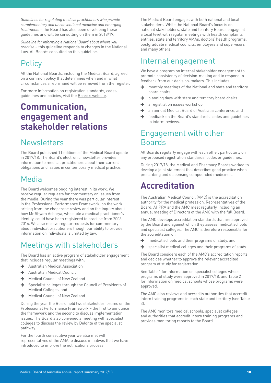<span id="page-9-0"></span>*Guidelines for regulating medical practitioners who provide complementary and unconventional medicine and emerging treatments* – the Board has also been developing these guidelines and will be consulting on them in 2018/19.

*Guideline for informing a National Board about where you practise* – this guideline responds to changes in the National Law. All Boards consulted on this guideline.

### **Policy**

All the National Boards, including the Medical Board, agreed on a common policy that determines when and in what circumstances a reprimand will be removed from the register.

For more information on registration standards, codes, guidelines and policies, visit the [Board's website.](https://www.medicalboard.gov.au/Codes-Guidelines-Policies.aspx)

### **Communication, engagement and stakeholder relations**

### Newsletters

The Board published 11 editions of the Medical Board update in 2017/18. The Board's electronic newsletter provides information to medical practitioners about their current obligations and issues in contemporary medical practice.

### Media

The Board welcomes ongoing interest in its work. We receive regular requests for commentary on issues from the media. During the year there was particular interest in the Professional Performance Framework, on the work arising from the chaperone review and on the inquiry about how Mr Shyam Acharya, who stole a medical practitioner's identity, could have been registered to practise from 2003– 2014. We also receive regular requests for commentary about individual practitioners though our ability to provide information on individuals is limited by law.

### Meetings with stakeholders

The Board has an active program of stakeholder engagement that includes regular meetings with:

- Australian Medical Association
- Australian Medical Council
- $\rightarrow$  Medical Council of New Zealand
- $\rightarrow$  Specialist colleges through the Council of Presidents of Medical Colleges, and
- Medical Council of New Zealand.

During the year the Board held two stakeholder forums on the Professional Performance Framework – the first to announce the framework and the second to discuss implementation issues. The Board also convened a meeting with specialist colleges to discuss the review by Deloitte of the specialist pathway.

For the fourth consecutive year we also met with representatives of the AMA to discuss initiatives that we have introduced to improve the notifications process.

The Medical Board engages with both national and local stakeholders. While the National Board's focus is on national stakeholders, state and territory Boards engage at a local level with regular meetings with health complaints entities, state and territory AMAs, doctors' health programs, postgraduate medical councils, employers and supervisors and many others.

### Internal engagement

We have a program on internal stakeholder engagement to promote consistency of decision-making and to respond to feedback from our decision-makers. This includes:

- monthly meetings of the National and state and territory board chairs
- $\rightarrow$  planning days with state and territory board chairs
- $\rightarrow$  a registration issues workshop
- $\rightarrow$  an annual Medical Board of Australia conference, and
- $\rightarrow$  feedback on the Board's standards, codes and guidelines to inform reviews.

### Engagement with other Boards

All Boards regularly engage with each other, particularly on any proposed registration standards, codes or guidelines.

During 2017/18, the Medical and Pharmacy Boards worked to develop a joint statement that describes good practice when prescribing and dispensing compounded medicines.

# **Accreditation**

The Australian Medical Council (AMC) is the accreditation authority for the medical profession. Representatives of the Board, AHPRA and the AMC meet regularly, including an annual meeting of Directors of the AMC with the full Board.

The AMC develops accreditation standards that are approved by the Board and against which they assess medical schools and specialist colleges. The AMC is therefore responsible for the accreditation of:

- $\rightarrow$  medical schools and their programs of study, and
- $\rightarrow$  specialist medical colleges and their programs of study.

The Board considers each of the AMC's accreditation reports and decides whether to approve the relevant accredited program of study for registration.

See Table 1 for information on specialist colleges whose programs of study were approved in 2017/18, and Table 2 for information on medical schools whose programs were approved.

The AMC also reviews and accredits authorities that accredit intern training programs in each state and territory (see Table 3).

The AMC monitors medical schools, specialist colleges and authorities that accredit intern training programs and provides monitoring reports to the Board.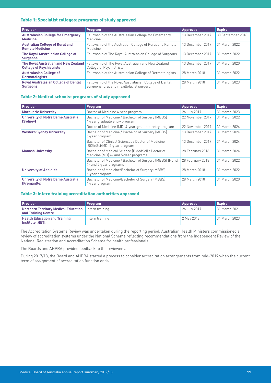#### <span id="page-10-0"></span>Table 1: Specialist colleges: programs of study approved

| <b>Provider</b>                                                  | <b>Program</b>                                                                                                             | <b>Approved</b>  | <b>Expiry</b>     |
|------------------------------------------------------------------|----------------------------------------------------------------------------------------------------------------------------|------------------|-------------------|
| <b>Australasian College for Emergency</b><br><b>Medicine</b>     | Fellowship of the Australasian College for Emergency<br>Medicine                                                           | 13 December 2017 | 30 September 2018 |
| <b>Australian College of Rural and</b><br><b>Remote Medicine</b> | Fellowship of the Australian College of Rural and Remote<br>Medicine                                                       | 13 December 2017 | 31 March 2022     |
| The Royal Australasian College of<br><b>Surgeons</b>             | Fellowship of The Royal Australasian College of Surgeons                                                                   | 13 December 2017 | 31 March 2022     |
| <b>College of Psychiatrists</b>                                  | <b>The Royal Australian and New Zealand</b> Fellowship of The Royal Australian and New Zealand<br>College of Psychiatrists | 13 December 2017 | 31 March 2020     |
| <b>Australasian College of</b><br><b>Dermatologists</b>          | Fellowship of the Australasian College of Dermatologists                                                                   | 28 March 2018    | 31 March 2022     |
| <b>Royal Australasian College of Dental</b><br><b>Surgeons</b>   | Fellowship of the Royal Australasian College of Dental<br>Surgeons (oral and maxillofacial surgery)                        | 28 March 2018    | 31 March 2023     |

#### Table 2: Medical schools: programs of study approved

| <b>Provider</b>                                          | Program                                                                                   | <b>Approved</b>  | <b>Expiry</b> |
|----------------------------------------------------------|-------------------------------------------------------------------------------------------|------------------|---------------|
| <b>Macquarie University</b>                              | Doctor of Medicine 4-year program                                                         | 26 July 2017     | 31 March 2023 |
| <b>University of Notre Dame Australia</b><br>(Sydney)    | Bachelor of Medicine / Bachelor of Surgery (MBBS)<br>4-year graduate entry program        | 22 November 2017 | 31 March 2022 |
|                                                          | Doctor of Medicine (MD) 4-year graduate entry program                                     | 22 November 2017 | 31 March 2024 |
| <b>Western Sydney University</b>                         | Bachelor of Medicine / Bachelor of Surgery (MBBS)<br>5-year program                       | 13 December 2017 | 31 March 2024 |
|                                                          | Bachelor of Clinical Sciences / Doctor of Medicine<br>(BClinSci/MD) 5-year program        | 13 December 2017 | 31 March 2024 |
| <b>Monash University</b>                                 | Bachelor of Medical Science (BMedSci) / Doctor of<br>Medicine (MD) 4- and 5-year programs | 28 February 2018 | 31 March 2024 |
|                                                          | Bachelor of Medicine / Bachelor of Surgery (MBBS) (Hons)<br>4- and 5-year programs        | 28 February 2018 | 31 March 2022 |
| <b>University of Adelaide</b>                            | Bachelor of Medicine/Bachelor of Surgery (MBBS)<br>6-year program                         | 28 March 2018    | 31 March 2022 |
| <b>University of Notre Dame Australia</b><br>(Fremantle) | Bachelor of Medicine/Bachelor of Surgery (MBBS)<br>4-year program                         | 28 March 2018    | 31 March 2020 |

#### Table 3: Intern training accreditation authorities approved

| <b>Provider</b>                                                                 | <b>Program</b>  | <b>Approved</b> | <b>Expiry</b> |
|---------------------------------------------------------------------------------|-----------------|-----------------|---------------|
| Northern Territory Medical Education   Intern training<br>I and Training Centre |                 | 26 July 2017    | 31 March 2021 |
| <b>Health Education and Training</b><br>Institute (HETI)                        | Intern training | 2 May 2018      | 31 March 2023 |

The Accreditation Systems Review was undertaken during the reporting period. Australian Health Ministers commissioned a review of accreditation systems under the National Scheme reflecting recommendations from the Independent Review of the National Registration and Accreditation Scheme for health professionals.

The Boards and AHPRA provided feedback to the reviewers.

During 2017/18, the Board and AHPRA started a process to consider accreditation arrangements from mid-2019 when the current term of assignment of accreditation function ends.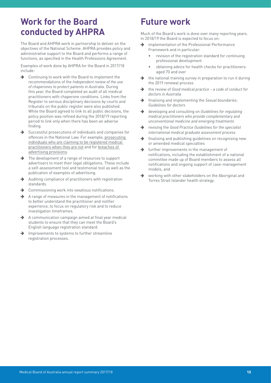## <span id="page-11-0"></span>**Work for the Board conducted by AHPRA**

The Board and AHPRA work in partnership to deliver on the objectives of the National Scheme. AHPRA provides policy and administrative support to the Board and performs a range of functions, as specified in the Health Professions Agreement.

Examples of work done by AHPRA for the Board in 2017/18 include:

- $\rightarrow$  Continuing to work with the Board to implement the recommendations of the *Independent review of the use of chaperones to protect patients in Australia*. During this year, the Board completed an audit of all medical practitioners with chaperone conditions. Links from the Register to serious disciplinary decisions by courts and tribunals on the public register were also published. While the Board agreed to link to all public decisions, the policy position was refined during the 2018/19 reporting period to link only when there has been an adverse finding.
- $\rightarrow$  Successful prosecutions of individuals and companies for offences in the National Law. For example, [prosecuting](https://www.medicalboard.gov.au/News/2017-10-10-fake-psychologist-and-practitioner.aspx)  [individuals who are claiming to be registered medical](https://www.medicalboard.gov.au/News/2017-10-10-fake-psychologist-and-practitioner.aspx)  [practitioners when they are not](https://www.medicalboard.gov.au/News/2017-10-10-fake-psychologist-and-practitioner.aspx) and for [breaches of](https://www.ahpra.gov.au/News/2017-10-04-media-release-advertising.aspx)  [advertising provisions](https://www.ahpra.gov.au/News/2017-10-04-media-release-advertising.aspx).
- $\rightarrow$  The development of a range of resources to support advertisers to meet their legal obligations. These include a self-assessment tool and testimonial tool as well as the publication of examples of advertising.
- $\rightarrow$  Auditing compliance of practitioners with registration standards.
- $\rightarrow$  Commissioning work into vexatious notifications.
- $\rightarrow$  A range of measures in the management of notifications to better understand the practitioner and notifier experience, to focus on regulatory risk and to reduce investigation timeframes.
- $\rightarrow$  A communication campaign aimed at final year medical students to ensure that they can meet the Board's English language registration standard.
- Improvements to systems to further streamline registration processes.

# **Future work**

Much of the Board's work is done over many reporting years. In 2018/19 the Board is expected to focus on:

- $\rightarrow$  implementation of the Professional Performance Framework and in particular:
	- revision of the registration standard for continuing professional development
	- obtaining advice for health checks for practitioners aged 70 and over
- the national training survey in preparation to run it during the 2019 renewal process
- w the review of *Good medical practice a code of conduct for doctors in Australia*
- w finalising and implementing the *Sexual boundaries: Guidelines for doctors*
- **→** developing and consulting on *Guidelines for regulating medical practitioners who provide complementary and unconventional medicine and emerging treatments*
- w revising the *Good Practice Guidelines for the specialist international medical graduate assessment process*
- $\rightarrow$  finalising and publishing guidelines on recognising new or amended medical specialties
- $\rightarrow$  further improvements in the management of notifications, including the establishment of a national committee made up of Board members to assess all notifications and ongoing support of case-management models, and
- working with other stakeholders on the Aboriginal and Torres Strait Islander health strategy.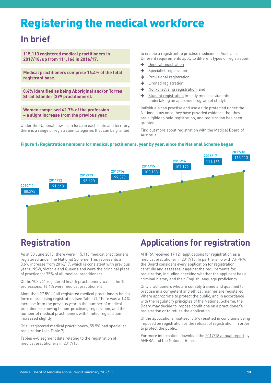# <span id="page-12-0"></span>Registering the medical workforce

# **In brief**

**115,113 registered medical practitioners in 2017/18; up from 111,166 in 2016/17.**

**Medical practitioners comprise 16.4% of the total registrant base.**

**0.4% identified as being Aboriginal and/or Torres Strait Islander (399 practitioners).**

**Women comprised 42.7% of the profession – a slight increase from the previous year.**

Under the National Law, as in force in each state and territory, there is a range of registration categories that can be granted

to enable a registrant to practise medicine in Australia. Different requirements apply to different types of registration:

- → [General registration](https://www.medicalboard.gov.au/Registration/Types/General-Registration.aspx)
- $\rightarrow$  [Specialist registration](https://www.medicalboard.gov.au/Registration/Types/Specialist-Registration.aspx)
- $\rightarrow$  [Provisional registration](https://www.medicalboard.gov.au/Registration/Types/Provisional-Registration.aspx)
- $\rightarrow$  [Limited registration](https://www.medicalboard.gov.au/Registration/Types/Limited-Registration.aspx)
- $\rightarrow$  [Non-practising registration](https://www.medicalboard.gov.au/Registration/Types/Non-Practising-Registration.aspx), and
- $\rightarrow$  [Student registration](https://www.medicalboard.gov.au/Registration/Types/Student-Registration.aspx) (mostly medical students undertaking an approved program of study).

Individuals can practise and use a title protected under the National Law once they have provided evidence that they are eligible to hold registration, and registration has been granted.

Find out more about [registration](https://www.medicalboard.gov.au/registration) with the Medical Board of Australia.

#### Figure 1: Registration numbers for medical practitioners, year by year, since the National Scheme began



# **Registration**

As at 30 June 2018, there were 115,113 medical practitioners registered under the National Scheme. This represents a 3.6% increase from 2016/17, which is consistent with previous years. NSW, Victoria and Queensland were the principal place of practice for 75% of all medical practitioners.

Of the 702,741 registered health practitioners across the 15 professions, 16.4% were medical practitioners.

More than 97.5% of all registered medical practitioners held a form of practising registration (see Table 7). There was a 1.4% increase from the previous year in the number of medical practitioners moving to non-practising registration, and the number of medical practitioners with limited registration increased slightly.

Of all registered medical practitioners, 55.5% had specialist registration (see Table 7).

Tables 4–8 segment data relating to the registration of medical practitioners in 2017/18.

# **Applications for registration**

AHPRA received 17,121 applications for registration as a medical practitioner in 2017/18. In partnership with AHPRA, the Board considers every application for registration carefully and assesses it against the requirements for registration, including checking whether the applicant has a criminal history and their English language proficiency.

Only practitioners who are suitably trained and qualified to practise in a competent and ethical manner are registered. Where appropriate to protect the public, and in accordance with the [regulatory principles](https://www.ahpra.gov.au/About-AHPRA/Regulatory-principles.aspx) of the National Scheme, the Board may decide to impose conditions on a practitioner's registration or to refuse the application.

Of the applications finalised, 3.6% resulted in conditions being imposed on registration or the refusal of registration, in order to protect the public.

For more information, download the [2017/18 annual report](https://www.ahpra.gov.au/annualreport/2018/) by AHPRA and the National Boards.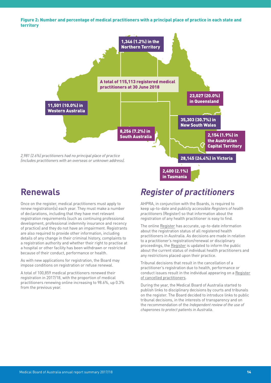<span id="page-13-0"></span>Figure 2: Number and percentage of medical practitioners with a principal place of practice in each state and territory



### **Renewals**

Once on the register, medical practitioners must apply to renew registration(s) each year. They must make a number of declarations, including that they have met relevant registration requirements (such as continuing professional development, professional indemnity insurance and recency of practice) and they do not have an impairment. Registrants are also required to provide other information, including details of any change in their criminal history, complaints to a registration authority and whether their right to practise at a hospital or other facility has been withdrawn or restricted because of their conduct, performance or health.

As with new applications for registration, the Board may impose conditions on registration or refuse renewal.

A total of 100,859 medical practitioners renewed their registration in 2017/18, with the proportion of medical practitioners renewing online increasing to 98.6%, up 0.3% from the previous year.

# *Register of practitioners*

AHPRA, in conjunction with the Boards, is required to keep up-to-date and publicly accessible *Registers of health practitioners* (Register) so that information about the registration of any health practitioner is easy to find.

The online [Register](https://www.ahpra.gov.au/registration/registers-of-practitioners.aspx) has accurate, up-to-date information about the registration status of all registered health practitioners in Australia. As decisions are made in relation to a practitioner's registration/renewal or disciplinary proceedings, the [Register](https://www.ahpra.gov.au/registration/registers-of-practitioners.aspx) is updated to inform the public about the current status of individual health practitioners and any restrictions placed upon their practice.

Tribunal decisions that result in the cancellation of a practitioner's registration due to health, performance or conduct issues result in the individual appearing on a [Register](https://www.ahpra.gov.au/registration/registers-of-practitioners/cancelled-health-practitioners.aspx)  [of cancelled practitioners.](https://www.ahpra.gov.au/registration/registers-of-practitioners/cancelled-health-practitioners.aspx)

During the year, the Medical Board of Australia started to publish links to disciplinary decisions by courts and tribunals on the register. The Board decided to introduce links to public tribunal decisions, in the interests of transparency and on the recommendation of the *Independent review of the use of chaperones to protect patients in Australia*.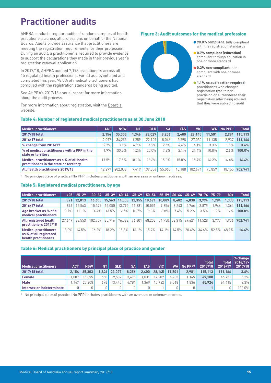# <span id="page-14-0"></span>**Practitioner audits**

AHPRA conducts regular audits of random samples of health practitioners across all professions on behalf of the National Boards. Audits provide assurance that practitioners are meeting the registration requirements for their profession. During an audit, a practitioner is required to provide evidence to support the declarations they made in their previous year's registration renewal application.

In 2017/18, AHPRA audited 7,193 practitioners across all 15 regulated health professions. For all audits initiated and completed this year, 98.0% of medical practitioners had complied with the registration standards being audited.

See AHPRA's [2017/18 annual report](https://www.ahpra.gov.au/annualreport/2018/) for more information about the audit process.

For more information about registration, visit the [Board's](https://www.medicalboard.gov.au/Registration.aspx)  [website](https://www.medicalboard.gov.au/Registration.aspx).

#### Table 4: Number of registered medical practitioners as at 30 June 2018

#### Figure 3: Audit outcomes for the medical profession

![](_page_14_Figure_7.jpeg)

| <b>Medical practitioners</b>                                                          | <b>ACT</b> | <b>NSW</b> | NΤ                 | <b>QLD</b> | SA     | <b>TAS</b> | VIC      | WA     | No PPP <sub>1</sub> | <b>Total</b>   |
|---------------------------------------------------------------------------------------|------------|------------|--------------------|------------|--------|------------|----------|--------|---------------------|----------------|
| 2017/18 total                                                                         | 2,154      | 35.303     | .346               | 23,027     | 8.256  | 2.400      | 28.145   | 11.501 | 2.981               | 115.113        |
| 2016/17 total                                                                         | 2.097      | 34.255     | .259               | 22.109     | 8.046  | 2.298      | 27.030   | 11.135 | 2.937               | 111.166        |
| % change from 2016/17                                                                 | 2.7%       | $3.1\%$    | 6.9%               | 4.2%       | 2.6%   | $4.4\%$    | $4.1\%$  | 3.3%   | $.5\%$              | 3.6%           |
| % of medical practitioners with a PPP in the<br>state or territory                    | 1.9%       | 30.7%      | $.2\%$             | $20.0\%$   | 7.2%   | $2.1\%$    | $24.4\%$ | 10.0%  | 2.6%                | 100.0%         |
| Medical practitioners as a % of all health<br>practitioners in the state or territory | 17.5%      | 17.5%      | $18.1\%$           | 16.6%      | 15.0%  | 15.8%      | $15.4\%$ | 16.2%  | 16.4%               | 16.4%          |
| All health practitioners 2017/18                                                      | 2.297      | 202.033    | 7.419 <sub>1</sub> | 139.056    | 55,060 | 15.188     | 182.674  | 70.859 |                     | 18,155 702,741 |

1 No principal place of practice (No PPP) includes practitioners with an overseas or unknown address.

#### Table 5: Registered medical practitioners, by age

| <b>Medical practitioners</b>                                                   | < 25   | $25 - 29$ |         | $ 30-34 $ 35-39 40-44 45-49        |        |               | $50 - 54$ | 55–59   60–64   65–69   70–74   75–79 |         |       |          |         | $80+$   | <b>Total</b> |
|--------------------------------------------------------------------------------|--------|-----------|---------|------------------------------------|--------|---------------|-----------|---------------------------------------|---------|-------|----------|---------|---------|--------------|
| 2017/18 total                                                                  | 821    | 12.813    |         | 16.605 15.563 14.353 12.355 10.691 |        |               |           | 10.089                                | 8.482   | 6.030 | 3.994    | 1.984   | 1.333   | 115.113      |
| 2016/17 total                                                                  | 896    | 12.563    | 15.377  | 15.050                             | 13.794 | 1.881         | 10.551    | 9.856                                 | 8.243   | 5,766 | 3.879    | .946    | .364    | 111.166      |
| Age bracket as % of all<br>medical practitioners                               | 0.7%   | $11.1\%$  | 14.4%   | 13.5%                              | 12.5%  | 10.7%         | 9.3%      | 8.8%                                  | $7.4\%$ | 5.2%  | 3.5%     | $1.7\%$ | $1.2\%$ | $100.0\%$    |
| All registered health<br>practitioners 2017/18                                 | 27.649 | 88.553    | 102.709 | 85.716                             |        | 76.383 76.601 |           | 68.203 71.750 58.315 29.621           |         |       | 11.528   | 3.777   | 1.936   | 702.741      |
| <b>Medical practitioners</b><br>as % of all registered<br>health practitioners | 3.0%   | 14.5%     | 16.2%   | 18.2%                              | 18.8%  | $16.1\%$      | 15.7%     | $14.1\%$                              | 14.5%   | 20.4% | $34.6\%$ | 52.5%   | 68.9%   | 16.4%        |

#### Table 6: Medical practitioners by principal place of practice and gender

| <b>Medical practitioners</b> | <b>ACT</b> | <b>NSW</b> | <b>NT</b> | <b>QLD</b> | <b>SA</b> | TAS.  | <b>VIC</b> | WA I   | No PPP <sup>1</sup> | <b>Total</b><br>2017/18 | <b>Total</b><br>2016/17 | % change<br>$2016/17 -$<br>2017/18 |
|------------------------------|------------|------------|-----------|------------|-----------|-------|------------|--------|---------------------|-------------------------|-------------------------|------------------------------------|
| 2017/18 total                | 2.154      | 35,303     | .346      | 23.027     | 8.256     | 2.400 | 28.145     | 11.501 | 2.981               | 115.113                 | 111.166                 | 3.6%                               |
| <b>Female</b>                | .007       | 15.095     | 668       | 9.582      | 3.475     | .031  | 12.202     | 4.983  | .145                | 49.188                  | 46.751                  | 5.2%                               |
| <b>Male</b>                  | .147       | 20.208     | 678       | 13.445     | 4.781     | .369  | 15.942     | 6.518  | .836                | 65.924                  | 64.415                  | 2.3%                               |
| Intersex or indeterminate    |            | 0          |           |            |           |       |            |        |                     |                         |                         | 100.0%                             |

1 No principal place of practice (No PPP) includes practitioners with an overseas or unknown address.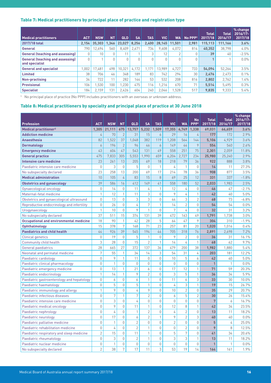#### <span id="page-15-0"></span>Table 7: Medical practitioners by principal place of practice and registration type

|                                                    |            |            |           |            |           |            |            |           |                     | <b>Total</b> | <b>Total</b> | % change<br>2016/17- |
|----------------------------------------------------|------------|------------|-----------|------------|-----------|------------|------------|-----------|---------------------|--------------|--------------|----------------------|
| <b>Medical practitioners</b>                       | <b>ACT</b> | <b>NSW</b> | <b>NT</b> | <b>QLD</b> | <b>SA</b> | <b>TAS</b> | <b>VIC</b> | <b>WA</b> | No PPP <sup>1</sup> | 2017/18      | 2016/17      | 2017/18              |
| 2017/18 total                                      | 2.154      | 35.303     | 1.346     | 23.027     | 8.256     | 2.400      | 28.145     | 11.501    | 2.981               | 115.113      | 111.166      | 3.6%                 |
| General                                            | 790        | 12.694     | 560       | 8.409      | 2,671     | 734        | 9.608      | 4,072     | 814                 | 40.352       | 38.798       | $4.0\%$              |
| <b>General (teaching and assessing)</b>            |            | 10         | $\Omega$  | 11         |           |            | 12         |           |                     | 39           | 40           | $-2.5%$              |
| General (teaching and assessing)<br>and specialist | U          |            | $\cup$    | $\cup$     | $\Omega$  |            |            |           |                     |              |              | $0.0\%$              |
| <b>General and specialist</b>                      | .002       | 17.481     | 498       | 10.321     | 4,172     | 1.171      | 13.989     | 4.727     | 733                 | 54.094       | 52.264       | 3.5%                 |
| <b>Limited</b>                                     | 38         | 706        | 46        | 348        | 189       | 83         | 742        | 294       | 30                  | 2,476        | 2,473        | $0.1\%$              |
| Non-practising                                     | 34         | 722        | 11        | 282        | 144       | 53         | 532        | 208       | 816                 | 2.802        | 2.762        | 1.4%                 |
| <b>Provisional</b>                                 | 106        | .530       | 100       | .230       | 475       | 116        | .216       | 670       | 71                  | 5.514        | 5.495        | 0.3%                 |
| <b>Specialist</b>                                  | 184        | 2.159      | 131       | 2,426      | 604       | 240        | 2.046      | .528      | 517                 | 9.835        | 9,333        | 5.4%                 |

1 No principal place of practice (No PPP) includes practitioners with an overseas or unknown address.

#### Table 8: Medical practitioners by specialty and principal place of practice at 30 June 2018

| <b>Profession</b>                              | <b>ACT</b>     | <b>NSW</b>   | <b>NT</b>           | <b>QLD</b>     | <b>SA</b>        | <b>TAS</b>     | <b>VIC</b>     | <b>WA</b>      | <b>No</b><br>PPP <sup>1</sup> | <b>Total</b><br>2017/18 | <b>Total</b><br>2016/17 | % change<br>2016/17-<br>2017/18 |
|------------------------------------------------|----------------|--------------|---------------------|----------------|------------------|----------------|----------------|----------------|-------------------------------|-------------------------|-------------------------|---------------------------------|
| <b>Medical practitioner<sup>2</sup></b>        | 1,305          | 21,111       | 675                 | 13,757         | 5,232            | 1,509          | 17,355         | 6.749          | 1,338                         | 69,031                  | 66,659                  | 3.6%                            |
| <b>Addiction medicine</b>                      | $\overline{4}$ | 70           | $\overline{2}$      | 31             | 15               | 6              | 29             | 16             | 4                             | 177                     | 172                     | 2.9%                            |
| <b>Anaesthesia</b>                             | 82             | 1,522        | 37                  | 1,048          | 382              | 119            | 1,208          | 564            | 144                           | 5,106                   | 4,929                   | 3.6%                            |
| <b>Dermatology</b>                             | 6              | 196          | $\overline{2}$      | 96             | 46               | 6              | 149            | 44             | 9                             | 554                     | 540                     | 2.6%                            |
| <b>Emergency medicine</b>                      | 43             | 604          | 47                  | 543            | 131              | 49             | 558            | 251            | 75                            | 2,301                   | 2,059                   | 11.8%                           |
| <b>General practice</b>                        | 475            | 7,833        | 305                 | 5,553          | 1,990            | 659            | 6,204          | 2,727          | 234                           | 25,980                  | 25,240                  | 2.9%                            |
| Intensive care medicine                        | 23             | 261          | 13                  | 205            | 69               | 18             | 218            | 79             | 36                            | 922                     | 888                     | 3.8%                            |
| Paediatric intensive care medicine             | $\mathbf 0$    | 3            | 0                   | 5              | 0                | $\mathbf{1}$   | $\sqrt{4}$     | 1              | 0                             | 14                      | 11                      | 27.3%                           |
| No subspecialty declared                       | 23             | 258          | 13                  | 200            | 69               | 17             | 214            | 78             | 36                            | 908                     | 877                     | 3.5%                            |
| <b>Medical administration</b>                  | 10             | 105          | 4                   | 83             | 15               | 8              | 69             | 25             | 12                            | 331                     | 337                     | $-1.8%$                         |
| <b>Obstetrics and gynaecology</b>              | 39             | 586          | 16                  | 412            | 149              | 41             | 558            | 180            | 52                            | 2,033                   | 1,983                   | 2.5%                            |
| Gynaecological oncology                        | $\overline{0}$ | 14           | 0                   | 11             | 4                | $\mathbf{1}$   | 12             | 4              | $\Omega$                      | 46                      | 47                      | $-2.1%$                         |
| Maternal-fetal medicine                        | $\mathbf{1}$   | 12           | 1                   | 11             | 3                | 0              | 9              | 4              | 1                             | 42                      | 40                      | 5.0%                            |
| Obstetrics and gynaecological ultrasound       | $\mathbf 0$    | 13           | $\Omega$            | 3              | 3                | 0              | 44             | 3              | $\mathbf{2}$                  | 68                      | 73                      | $-6.8%$                         |
| Reproductive endocrinology and infertility     | $\mathbb O$    | 26           | $\Omega$            | 4              | $\boldsymbol{7}$ | $\mathbf{1}$   | 14             | $\overline{2}$ | $\Omega$                      | 54                      | 54                      | 0.0%                            |
| Urogynaecology                                 | $\mathbf{1}$   | 10           | 0                   | 9              | $\mathbf{1}$     | 0              | 7              | 4              | 0                             | 32                      | 31                      | 3.2%                            |
| No subspecialty declared                       | 37             | 511          | 15                  | 374            | 131              | 39             | 472            | 163            | 49                            | 1,791                   | 1,738                   | 3.0%                            |
| <b>Occupational and environmental medicine</b> | 18             | 90           | 1                   | 42             | 28               | 5              | 64             | 47             | 9                             | 304                     | 310                     | $-1.9%$                         |
| <b>Ophthalmology</b>                           | 15             | 378          | 7                   | 168            | 71               | 23             | 257            | 81             | 20                            | 1,020                   | 1,016                   | 0.4%                            |
| <b>Paediatrics and child health</b>            | 44             | 926          | 39                  | 545            | 194              | 44             | 705            | 318            | 76                            | 2,891                   | 2,698                   | 7.2%                            |
| <b>Clinical genetics</b>                       | $\mathbf 0$    | 19           | $\overline{0}$      | 5              | 1                | 0              | 9              | $\overline{2}$ | 0                             | 36                      | 31                      | 16.1%                           |
| Community child health                         | 3              | 28           | $\Omega$            | 15             | $\sqrt{2}$       | 1              | 14             | 4              | 1                             | 68                      | 62                      | 9.7%                            |
| General paediatrics                            | 28             | 665          | 27                  | 372            | 137              | 36             | 479            | 200            | 38                            | 1,982                   | 1,880                   | 5.4%                            |
| Neonatal and perinatal medicine                | 7              | 55           | 1                   | 34             | 14               | 3              | 54             | 31             | 4                             | 203                     | 181                     | 12.2%                           |
| Paediatric cardiology                          | $\mathbf 0$    | 9            | 1                   | 11             | 0                | $\mathbf 0$    | 10             | 5              | 6                             | 42                      | 40                      | 5.0%                            |
| Paediatric clinical pharmacology               | 0              | 1            | 0                   | $\Omega$       | 0                | $\mathbf 0$    | $\Omega$       | 0              | 0                             | $\mathbf{1}$            | 1                       | $0.0\%$                         |
| Paediatric emergency medicine                  | $\mathbf 0$    | 13           | 1                   | 21             | 6                | $\mathbf 0$    | 17             | 12             | 1                             | 71                      | 59                      | 20.3%                           |
| Paediatric endocrinology                       | $\mathbf{1}$   | 14           | 1                   | 9              | $\overline{2}$   | $\Omega$       | 3              | 5              | 1                             | 36                      | 34                      | 5.9%                            |
| Paediatric gastroenterology and hepatology     | $\mathbf 0$    | 6            | 0                   | 6              | 1                | $\mathbf 0$    | 11             | 6              | 3                             | 33                      | 30                      | 10.0%                           |
| Paediatric haematology                         | $\mathbf 0$    | 5            | 0                   | $\mathbf 5$    | 1                | $\theta$       | 4              | 3              | 1                             | 19                      | 15                      | 26.7%                           |
| Paediatric immunology and allergy              | 1              | 9            | 0                   | 4              | $\,9$            | $\overline{0}$ | 10             | $\overline{2}$ | $\mathbf 0$                   | 35                      | 29                      | 20.7%                           |
| Paediatric infectious diseases                 | $\mathbf 0$    | 7            | $\overline{1}$      | 7              | $\overline{2}$   | $\overline{0}$ | 6              | 5              | $\overline{2}$                | 30                      | 26                      | 15.4%                           |
| Paediatric intensive care medicine             | $\mathbf 0$    | 3            | 0                   | 4              | $\mathbf 0$      | 0              | $\mathbf 0$    | 0              | $\mathbf 0$                   | $\overline{7}$          | 6                       | 16.7%                           |
| Paediatric medical oncology                    | $\mathbf 0$    | 9            | $\mathbf 0$         | 11             | 1                | 0              | 12             | 8              | 1                             | 42                      | 34                      | 23.5%                           |
| Paediatric nephrology                          | $\mathbf 0$    | 4            | $\overline{0}$      | $\mathbf{1}$   | $\overline{2}$   | 0              | 4              | $\overline{2}$ | 0                             | 13                      | 11                      | 18.2%                           |
| Paediatric neurology                           | $\mathbf 0$    | 17           | $\mathsf{O}\xspace$ | 6              | $\sqrt{2}$       | $\mathbf{1}$   | 9              | $\overline{c}$ | 3                             | 40                      | $40\,$                  | $0.0\%$                         |
| Paediatric palliative medicine                 | $\mathbb O$    | 1            | $\mathbf 0$         | $\mathbf{2}$   | 0                | 0              | $\overline{2}$ | 0              | 0                             | 5                       | 4                       | 25.0%                           |
| Paediatric rehabilitation medicine             | $\mathbb O$    | 4            | $\mathbb O$         | $\mathbf{2}$   | $\mathbf{1}$     | 0              | 0              | $\mathbf{2}$   | 0                             | 9                       | 8                       | 12.5%                           |
| Paediatric respiratory and sleep medicine      | $\overline{2}$ | 15           | $\mathbb O$         | 11             | $\mathbf{1}$     | $\mathbb O$    | 5              | $\overline{7}$ | $\mathbf 0$                   | 41                      | 34                      | 20.6%                           |
| Paediatric rheumatology                        | 0              | 3            | 0                   | $\overline{2}$ | $\mathbf{1}$     | 0              | 3              | 3              | 1                             | 13                      | 11                      | 18.2%                           |
| Paediatric nuclear medicine                    | 0              | $\mathbf{1}$ | 0                   | 0              | $\mathbb O$      | 0              | $\mathbb O$    | 0              | $\mathbf 0$                   | $\mathbf{1}$            | $\mathbf{1}$            | $0.0\%$                         |
| No subspecialty declared                       | $\overline{2}$ | 38           | $\sqrt{ }$          | $17\,$         | 11               | $\mathfrak 3$  | 53             | 19             | 14                            | 164                     | 161                     | 1.9%                            |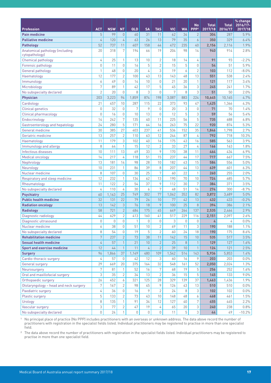|                                                   |                  |             |                |                |             |                |               |             |                               |                         |                         | % change            |
|---------------------------------------------------|------------------|-------------|----------------|----------------|-------------|----------------|---------------|-------------|-------------------------------|-------------------------|-------------------------|---------------------|
| <b>Profession</b>                                 | <b>ACT</b>       | <b>NSW</b>  | <b>NT</b>      | QLD            | <b>SA</b>   | <b>TAS</b>     | <b>VIC</b>    | <b>WA</b>   | <b>No</b><br>PPP <sup>1</sup> | <b>Total</b><br>2017/18 | <b>Total</b><br>2016/17 | 2016/17-<br>2017/18 |
| <b>Pain medicine</b>                              | 5                | 99          | $\theta$       | 60             | 31          | 11             | 62            | 34          | $\overline{2}$                | 304                     | 287                     | 5.9%                |
| <b>Palliative medicine</b>                        | 4                | 120         | $\overline{4}$ | 63             | 26          | 13             | 79            | 35          | 6                             | 350                     | 329                     | 6.4%                |
| <b>Pathology</b>                                  | 52               | 737         | 11             | 407            | 158         | 44             | 472           | 235         | 40                            | 2,156                   | 2,116                   | 1.9%                |
| Anatomical pathology (including<br>cytopathology) | 20               | 318         | 7              | 194            | 66          | 19             | 204           | 98          | 14                            | 940                     | 914                     | 2.8%                |
| Chemical pathology                                | 4                | 25          | $\mathbf{1}$   | 13             | 10          | $\overline{2}$ | 18            | 14          | 4                             | 91                      | 93                      | $-2.2%$             |
| Forensic pathology                                | 0                | 11          | $\Omega$       | 16             | 5           | $\overline{2}$ | 15            | 5           | $\mathbf 0$                   | 54                      | 51                      | 5.9%                |
| General pathology                                 | 1                | 48          | $\mathbf 0$    | 20             | 4           | 3              | 19            | 6           | $\mathbf{2}$                  | 103                     | 112                     | $-8.0\%$            |
| Haematology                                       | 12               | 177         | $\sqrt{2}$     | 100            | 43          | 13             | 143           | 48          | 13                            | 551                     | 538                     | 2.4%                |
| Immunology                                        | 6                | 49          | $\overline{0}$ | 14             | 10          | $\mathbf 0$    | 21            | 20          | 1                             | 121                     | 117                     | 3.4%                |
| Microbiology                                      | $\boldsymbol{7}$ | 89          | 1              | 42             | 17          | 5              | 45            | 36          | 3                             | 245                     | 241                     | 1.7%                |
| No subspecialty declared                          | $\overline{2}$   | 20          | $\Omega$       | 8              | 3           | 0              | 7             | 8           | 3                             | 51                      | 50                      | 2.0%                |
| <b>Physician</b>                                  | 203              | 3,223       | 94             | 1,859          | 874         | 198            | 3,087         | 883         | 224                           | 10,645                  | 10,165                  | 4.7%                |
| Cardiology                                        | 21               | 457         | 10             | 287            | 115         | 22             | 373           | 93          | 47                            | 1,425                   | 1,366                   | 4.3%                |
| <b>Clinical genetics</b>                          | $\mathbf 0$      | 32          | $\mathbf 0$    | 7              | 9           | $\mathbb O$    | 20            | 3           | $\theta$                      | 71                      | 70                      | 1.4%                |
| Clinical pharmacology                             | 0                | 16          | $\theta$       | 10             | 13          | 0              | 12            | 5           | 3                             | 59                      | 56                      | 5.4%                |
| Endocrinology                                     | 14               | 242         | 7              | 135            | 40          | 11             | 225           | 56          | 5                             | 735                     | 688                     | 6.8%                |
| Gastroenterology and hepatology                   | 24               | 280         | 5              | 171            | 64          | 16             | 263           | 75          | 22                            | 920                     | 874                     | 5.3%                |
| <b>General medicine</b>                           | 30               | 385         | 27             | 403            | 237         | 41             | 536           | 152         | 35                            | 1,846                   | 1,798                   | 2.7%                |
| Geriatric medicine                                | 13               | 257         | $\overline{2}$ | 110            | 63          | 12             | 244           | 87          | 4                             | 792                     | 718                     | 10.3%               |
| Haematology                                       | 11               | 179         | 3              | 102            | 40          | 16             | 175           | 43          | 16                            | 585                     | 563                     | 3.9%                |
| Immunology and allergy                            | 8                | 64          | $\mathbf{1}$   | 15             | 12          | $\overline{2}$ | 33            | 27          | 4                             | 166                     | 163                     | 1.8%                |
| Infectious diseases                               | 10               | 111         | 13             | 69             | 33          | 9              | 170           | 38          | 11                            | 464                     | 434                     | 6.9%                |
| Medical oncology                                  | 14               | 217         | 4              | 118            | 51          | 15             | 237           | 44          | 17                            | 717                     | 667                     | 7.5%                |
| Nephrology                                        | 13               | 181         | 14             | 98             | 28          | 10             | 182           | 43          | 15                            | 584                     | 556                     | 5.0%                |
| Neurology                                         | 10               | 231         | $\mathbf{1}$   | 86             | 39          | 8              | 207           | 44          | 13                            | 639                     | 601                     | 6.3%                |
| Nuclear medicine                                  | 8                | 107         | $\theta$       | 30             | 25          | 7              | 60            | 22          | 1                             | 260                     | 255                     | 2.0%                |
| Respiratory and sleep medicine                    | 12               | 232         | 1              | 134            | 62          | 13             | 190           | 70          | 10                            | 724                     | 685                     | 5.7%                |
| Rheumatology                                      | 11               | 122         | $\overline{2}$ | 54             | 37          | 9              | 112           | 30          | 7                             | 384                     | 371                     | 3.5%                |
| No subspecialty declared                          | 4                | 110         | 4              | 30             | 6           | 7              | 48            | 51          | 14                            | 274                     | 300                     | $-8.7%$             |
| <b>Psychiatry</b>                                 | 60               | 1,163       | 25             | 749            | 302         | 77             | 1,062         | 352         | 82                            | 3,872                   | 3,689                   | 5.0%                |
| <b>Public health medicine</b>                     | 32               | 131         | 22             | 79             | 26          | 10             | 77            | 42          | 13                            | 432                     | 433                     | $-0.2%$             |
| <b>Radiation oncology</b>                         | 13               | 142         | $\mathfrak{Z}$ | 76             | 18          | 9              | 100           | 25          | 8                             | 394                     | 386                     | 2.1%                |
| <b>Radiology</b>                                  | 58               | 721         | $\overline{2}$ | 484            | 175         | 45             | 649           | 264         | 137                           | 2,535                   | 2,464                   | 2.9%                |
| Diagnostic radiology                              | 44               | 629         | $\overline{2}$ | 413            | 160         | 41             | 517           | 229         | 116                           | 2,151                   | 2,097                   | 2.6%                |
| Diagnostic ultrasound                             | $\mathbb O$      | $\mathbb O$ | $\mathbb O$    | $\overline{1}$ | $\mathbb O$ | $\mathbb O$    | $\mathfrak 3$ | $\mathbb O$ | $\mathbb O$                   | $\pmb{\mathcal{L}}$     | 4                       | $0.0\%$             |
| Nuclear medicine                                  | 6                | 38          | $\Omega$       | 51             | 10          | $\mathbf{2}$   | 69            | 11          | 3                             | 190                     | 188                     | 1.1%                |
| No subspecialty declared                          | 8                | 54          | $\mathbb O$    | 19             | 5           | $\mathbf{2}$   | 60            | 24          | 18                            | 190                     | 175                     | 8.6%                |
| <b>Rehabilitation medicine</b>                    | $\sqrt{ }$       | 237         | $\overline{2}$ | 73             | 38          | 11             | 142           | 15          | 10                            | 535                     | 517                     | 3.5%                |
| <b>Sexual health medicine</b>                     | 4                | 57          | $\mathbf{1}$   | 21             | 10          | $\overline{2}$ | 25            | 8           |                               | 129                     | 127                     | 1.6%                |
| <b>Sport and exercise medicine</b>                | 12               | 44          | $\mathbf{1}$   | 11             | 4           | $\overline{2}$ | 39            | 10          | $\mathbf{1}$                  | 124                     | 121                     | 2.5%                |
| <b>Surgery</b>                                    | 96               | 1,866       | 37             | 1,149          | 480         | 109            | 1,542         | 514         | 143                           | 5,936                   | 5,853                   | 1.4%                |
| Cardio-thoracic surgery                           | 4                | 57          | $\mathbb O$    | 42             | 12          | 3              | 60            | 16          | 9                             | 203                     | 203                     | $0.0\%$             |
| General surgery                                   | 29               | 669         | 20             | 375            | 164         | 32             | 548           | 161         | 52                            | 2,050                   | 2,024                   | 1.3%                |
| Neurosurgery                                      | 7                | 81          | 1              | 52             | 16          | 7              | 68            | 19          | 5                             | 256                     | 252                     | 1.6%                |
| Oral and maxillofacial surgery                    | 3                | 35          | $\mathbf{2}$   | 34             | 13          | $\mathbf{2}$   | 36            | 15          | 5                             | 145                     | 133                     | $9.0\%$             |
| Orthopaedic surgery                               | 26               | 452         | 6              | 321            | 125         | 28             | 329           | 139         | 37                            | 1,463                   | 1,436                   | 1.9%                |
| Otolaryngology - head and neck surgery            | 7                | 167         | $\overline{2}$ | 98             | 45          | 9              | 126           | 43          | 13                            | 510                     | 510                     | $0.0\%$             |
| Paediatric surgery                                | 4                | 36          | $\mathbb O$    | 16             | 9           | $\overline{2}$ | 24            | 8           | 3                             | 102                     | 102                     | $0.0\%$             |
| Plastic surgery                                   | 5                | 133         | $\mathbf{2}$   | 73             | 43          | 10             | 148           | 48          | 6                             | 468                     | 461                     | 1.5%                |
| Urology                                           | 8                | 135         | $\mathbf{1}$   | 91             | 34          | 12             | 127           | 40          | 7                             | 455                     | 445                     | 2.2%                |
| Vascular surgery                                  | 3                | 77          | $\sqrt{2}$     | 47             | 19          | 4              | 65            | 20          | 3                             | 240                     | 238                     | 0.8%                |
| No subspecialty declared                          | $\mathbb O$      | 24          | $\mathbf{1}$   | $\mathbb O$    | 0           | 0              | 11            | 5           | 3                             | 44                      | 49                      | $-10.2%$            |

1 No principal place of practice (No PPP) includes practitioners with an overseas or unknown address. The data above record the number of practitioners with registration in the specialist fields listed. Individual practitioners may be registered to practise in more than one specialist field.

<sup>2</sup> The data above record the number of practitioners with registration in the specialist fields listed. Individual practitioners may be registered to practise in more than one specialist field.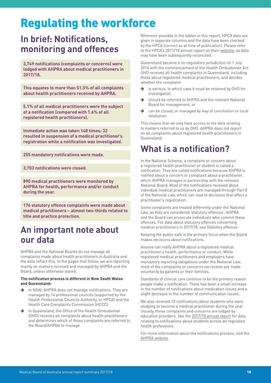# <span id="page-17-0"></span>Regulating the workforce

# **In brief: Notifications, monitoring and offences**

**3,749 notifications (complaints or concerns) were lodged with AHPRA about medical practitioners in 2017/18.**

**This equates to more than 51.5% of all complaints about health practitioners received by AHPRA.**

**5.1% of all medical practitioners were the subject of a notification (compared with 1.6% of all registered health practitioners).**

**Immediate action was taken 148 times; 32 resulted in suspension of a medical practitioner's registration while a notification was investigated.**

**255 mandatory notifications were made.**

**3,703 notifications were closed.**

**890 medical practitioners were monitored by AHPRA for health, performance and/or conduct during the year.**

**176 statutory offence complaints were made about medical practitioners – almost two-thirds related to title and practice protection.**

### <span id="page-17-1"></span>**An important note about our data**

AHPRA and the National Boards do not manage all complaints made about health practitioners in Australia and the data reflect this. In the pages that follow, we are reporting mainly on matters received and managed by AHPRA and the Board, unless otherwise stated.

#### The notification process is different in New South Wales and Queensland:

- $\rightarrow$  In NSW, AHPRA does not manage notifications. They are managed by 14 professional councils (supported by the Health Professional Councils Authority, or HPCA) and the Health Care Complaints Commission (HCCC).
- $\rightarrow$  In Queensland, the Office of the Health Ombudsman (OHO) receives all complaints about health practitioners and determines which of those complaints are referred to the Board/AHPRA to manage.

Wherever possible in the tables in this report, HPCA data are given in separate columns and the data have been checked by the HPCA (correct as at time of publication). Please refer to the HPCA's 2017/18 annual report on their [website](http://www.hpca.nsw.gov.au/publications-hpca), as data may have been subsequently reconciled.

Queensland became a co-regulatory jurisdiction on 1 July 2014 with the commencement of the Health Ombudsman Act. OHO receives all health complaints in Queensland, including those about registered medical practitioners, and decides whether the complaint:

- $\rightarrow$  is serious, in which case it must be retained by OHO for investigation
- $\rightarrow$  should be referred to AHPRA and the relevant National Board for management, or
- $\rightarrow$  can be closed, or managed by way of conciliation or local resolution.

This means that we only have access to the data relating to matters referred to us by OHO. AHPRA does not report on all complaints about registered health practitioners in Queensland.

# **What is a notification?**

In the National Scheme, a complaint or concern about a registered health practitioner or student is called a notification. They are called notifications because AHPRA is notified about a concern or complaint about a practitioner, which AHPRA manages in partnership with the relevant National Board. Most of the notifications received about individual medical practitioners are managed through Part 8 of the National Law, which can lead to decisions that affect a practitioner's registration.

Some complaints are treated differently under the National Law, as they are considered 'statutory offences'. AHPRA and the Board can prosecute individuals who commit these offences. For data about statutory offences concerning medical practitioners in 2017/18, see *Statutory offences*.

Keeping the public safe is the primary focus when the Board makes decisions about notifications.

Anyone can notify AHPRA about a registered medical practitioner's health, performance or conduct. While registered medical practitioners and employers have mandatory reporting obligations under the National Law, most of the complaints or concerns we receive are made voluntarily by patients or their families.

Standards of clinical care continue to be the primary reason people make a notification. There has been a small increase in the number of notifications about medication issues and a slight decrease in the number of communication issues.

We also received 10 notifications about students who were studying to become a medical practitioner during the year. Usually, these complaints and concerns are lodged by education providers. See the [2017/18 annual report](https://www.ahpra.gov.au/annualreport/2018/) for data relating to notifications about students across all regulated health professions.

For more information about the notifications process, visit the [AHPRA website](http://www.ahpra.gov.au/notifications).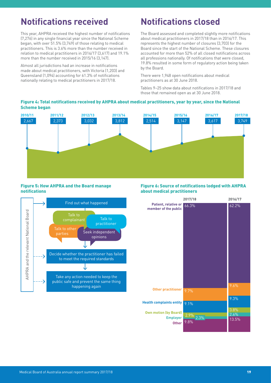# <span id="page-18-0"></span>**Notifications received**

This year, AHPRA received the highest number of notifications (7,276) in any single financial year since the National Scheme began, with over 51.5% (3,749) of those relating to medical practitioners. This is 3.6% more than the number received in relation to medical practitioners in 2016/17 (3,617) and 19.1% more than the number received in 2015/16 (3,147).

Almost all jurisdictions had an increase in notifications made about medical practitioners, with Victoria (1,203) and Queensland (1,094) accounting for 61.3% of notifications nationally relating to medical practitioners in 2017/18.

# **Notifications closed**

The Board assessed and completed slightly more notifications about medical practitioners in 2017/18 than in 2016/17. This represents the highest number of closures (3,703) for the Board since the start of the National Scheme. These closures accounted for more than 52% of all closed notifications across all professions nationally. Of notifications that were closed, 19.8% resulted in some form of regulatory action being taken by the Board.

There were 1,948 open notifications about medical practitioners as at 30 June 2018.

Tables 9–25 show data about notifications in 2017/18 and those that remained open as at 30 June 2018.

#### Figure 4: Total notifications received by AHPRA about medical practitioners, year by year, since the National Scheme began

![](_page_18_Figure_8.jpeg)

#### Figure 5: How AHPRA and the Board manage notifications

![](_page_18_Figure_10.jpeg)

#### Figure 6: Source of notifications lodged with AHPRA about medical practitioners

![](_page_18_Figure_12.jpeg)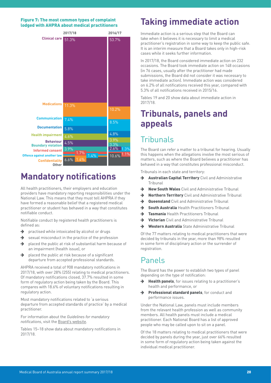#### <span id="page-19-0"></span>Figure 7: The most common types of complaint lodged with AHPRA about medical practitioners

![](_page_19_Figure_1.jpeg)

# **Mandatory notifications**

All health practitioners, their employers and education providers have mandatory reporting responsibilities under the National Law. This means that they must tell AHPRA if they have formed a reasonable belief that a registered medical practitioner or student has behaved in a way that constitutes notifiable conduct.

Notifiable conduct by registered health practitioners is defined as:

- $\rightarrow$  practised while intoxicated by alcohol or drugs
- $\rightarrow$  sexual misconduct in the practice of the profession
- $\rightarrow$  placed the public at risk of substantial harm because of an impairment (health issue), or
- $\rightarrow$  placed the public at risk because of a significant departure from accepted professional standards.

AHPRA received a total of 908 mandatory notifications in 2017/18, with over 28% (255) relating to medical practitioners. Of mandatory notifications closed, 37.7% resulted in some form of regulatory action being taken by the Board. This compares with 18.6% of voluntary notifications resulting in regulatory action.

Most mandatory notifications related to 'a serious departure from accepted standards of practice' by a medical practitioner.

For information about the *Guidelines for mandatory notifications*, visit the [Board's website](https://www.medicalboard.gov.au/codes-guidelines-policies/guidelines-for-mandatory-notifications.aspx).

Tables 15–18 show data about mandatory notifications in 2017/18.

# **Taking immediate action**

Immediate action is a serious step that the Board can take when it believes it is necessary to limit a medical practitioner's registration in some way to keep the public safe. It is an interim measure that a Board takes only in high-risk cases while it seeks further information.

In 2017/18, the Board considered immediate action on 232 occasions. The Board took immediate action on 148 occasions (in 76 cases, usually after the practitioner had made submissions, the Board did not consider it was necessary to take immediate action). Immediate action was considered on 6.2% of all notifications received this year, compared with 5.3% of all notifications received in 2015/16.

Tables 19 and 20 show data about immediate action in 2017/18.

# **Tribunals, panels and appeals**

## **Tribunals**

The Board can refer a matter to a tribunal for hearing. Usually this happens when the allegations involve the most serious of matters, such as where the Board believes a practitioner has behaved in a way that constitutes professional misconduct.

Tribunals in each state and territory:

- $\rightarrow$  Australian Capital Territory Civil and Administrative Tribunal
- $\rightarrow$  New South Wales Civil and Administrative Tribunal
- → Northern Territory Civil and Administrative Tribunal
- → Queensland Civil and Administrative Tribunal
- **South Australia** Health Practitioners Tribunal
- $\rightarrow$  Tasmania Health Practitioners Tribunal
- **→ Victorian** Civil and Administrative Tribunal
- **→ Western Australia** State Administrative Tribunal

Of the 77 matters relating to medical practitioners that were decided by tribunals in the year, more than 98% resulted in some form of disciplinary action or the surrender of registration.

### Panels

The Board has the power to establish two types of panel depending on the type of notification:

- $\rightarrow$  Health panels, for issues relating to a practitioner's health and performance, or
- Professional standard panels, for conduct and performance issues.

Under the National Law, panels must include members from the relevant health profession as well as community members. All health panels must include a medical practitioner. Each National Board has a list of approved people who may be called upon to sit on a panel.

Of the 18 matters relating to medical practitioners that were decided by panels during the year, just over 66% resulted in some form of regulatory action being taken against the individual medical practitioner.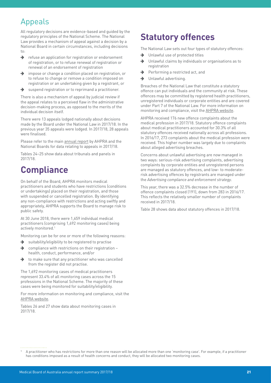# <span id="page-20-0"></span>Appeals

All regulatory decisions are evidence-based and guided by the regulatory principles of the National Scheme. The National Law provides a mechanism of appeal against a decision by a National Board in certain circumstances, including decisions to:

- $\rightarrow$  refuse an application for registration or endorsement of registration, or to refuse renewal of registration or renewal of an endorsement of registration
- $\rightarrow$  impose or change a condition placed on registration, or to refuse to change or remove a condition imposed on registration or an undertaking given by a registrant, or
- $\rightarrow$  suspend registration or to reprimand a practitioner.

There is also a mechanism of appeal by judicial review if the appeal relates to a perceived flaw in the administrative decision-making process, as opposed to the merits of the individual decision itself.

There were 13 appeals lodged nationally about decisions made by the Board under the National Law in 2017/18. In the previous year 35 appeals were lodged. In 2017/18, 28 appeals were finalised.

Please refer to the main [annual report](https://www.ahpra.gov.au/annualreport/2018/) by AHPRA and the National Boards for data relating to appeals in 2017/18.

Tables 24–25 show data about tribunals and panels in 2017/18.

# **Compliance**

On behalf of the Board, AHPRA monitors medical practitioners and students who have restrictions (conditions or undertakings) placed on their registration, and those with suspended or cancelled registration. By identifying any non-compliance with restrictions and acting swiftly and appropriately, AHPRA supports the Board to manage risk to public safety.

At 30 June 2018, there were 1,659 individual medical practitioners (comprising 1,692 monitoring cases) being actively monitored.1

Monitoring can be for one or more of the following reasons:

- $\rightarrow$  suitability/eligibility to be registered to practise
- $\rightarrow$  compliance with restrictions on their registration health, conduct, performance, and/or
- $\rightarrow$  to make sure that any practitioner who was cancelled from the register did not practise.

The 1,692 monitoring cases of medical practitioners represent 33.4% of all monitoring cases across the 15 professions in the National Scheme. The majority of these cases were being monitored for suitability/eligibility.

For more information on monitoring and compliance, visit the [AHPRA website.](https://www.ahpra.gov.au/registration/monitoring-and-compliance.aspx)

Tables 26 and 27 show data about monitoring cases in 2017/18.

# **Statutory offences**

The National Law sets out four types of statutory offences:

- $\rightarrow$  Unlawful use of protected titles
- $\rightarrow$  Unlawful claims by individuals or organisations as to registration
- $\rightarrow$  Performing a restricted act, and
- $\rightarrow$  Unlawful advertising.

Breaches of the National Law that constitute a statutory offence can put individuals and the community at risk. These offences may be committed by registered health practitioners, unregistered individuals or corporate entities and are covered under Part 7 of the National Law. For more information on monitoring and compliance, visit the [AHPRA website.](https://www.ahpra.gov.au/registration/monitoring-and-compliance.aspx)

AHPRA received 176 new offence complaints about the medical profession in 2017/18. Statutory offence complaints about medical practitioners accounted for 30.3% of all statutory offences received nationally across all professions. In 2016/17, 273 complaints about the medical profession were received. This higher number was largely due to complaints about alleged advertising breaches.

Concerns about unlawful advertising are now managed in two ways: serious-risk advertising complaints, advertising complaints by corporate entities and unregistered persons are managed as statutory offences, and low- to moderaterisk advertising offences by registrants are managed under the *Advertising compliance and enforcement strategy*.

This year, there was a 32.5% decrease in the number of offence complaints closed (191), down from 283 in 2016/17. This reflects the relatively smaller number of complaints received in 2017/18.

Table 28 shows data about statutory offences in 2017/18.

<sup>1</sup> A practitioner who has restrictions for more than one reason will be allocated more than one 'monitoring case'. For example, if a practitioner has conditions imposed as a result of health concerns and conduct, they will be allocated two monitoring cases.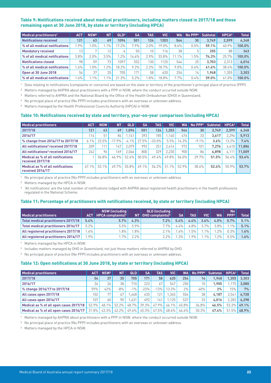#### <span id="page-21-0"></span>Table 9: Notifications received about medical practitioners, including matters closed in 2017/18 and those remaining open at 30 June 2018, by state or territory (including HPCA)

| Medical practitioners <sup>1</sup> | <b>ACT</b> | <b>NSW<sup>2</sup></b> | <b>NT</b> | QLD <sup>3</sup> | <b>SA</b> | <b>TAS</b> | <b>VIC</b> | <b>WA</b> | No PPP <sup>4</sup> | <b>Subtotal</b> | HPCA <sup>5</sup> | <b>Total</b> |
|------------------------------------|------------|------------------------|-----------|------------------|-----------|------------|------------|-----------|---------------------|-----------------|-------------------|--------------|
| Notifications received             | 121        | 63                     | 69        | 1094             | 501       | 124        | 1203       | 544       | 30                  | 3.749           | 2.599             | 6.348        |
| % of all medical notifications     | $.9\%$     | $.0\%$                 | $1.1\%$   | $7.2\%$          | $7.9\%$   | 2.0%       | 19.0%      | 8.6%      | 0.5%                | 59.1%           | 40.9%             | 100.0%       |
| <b>Mandatory received</b>          | 13         | $\overline{ }$         | 12        |                  | 50        | 10         | 116.       | 38        |                     | 255             | 88                | 343          |
| % of all medical notifications     | 3.8%       | 2.0%                   | 3.5%      | $.2\%$           | $14.6\%$  | 2.9%       | 33.8%      | $11.1\%$  | $.5\%$              | 74.3%           | 25.7%             | 100.0%       |
| <b>Notifications closed</b>        | 98         | 59                     | 73        | 1097             | 552       | 130        | 1125       | 544       | 25                  | 3.703           | 2.313             | 6,016        |
| % of all medical notifications     | $.6\%$     | $.0\%$                 | $.2\%$    | 18.2%            | 9.2%      | 2.2%       | 18.7%      | 9.0%      | 0.4%                | 61.6%           | 38.4%             | 100.0%       |
| Open at 30 June 2018               | 54         | 37                     | 35        | 705              | 171       | 58         | 620        | 254       | $14^{\circ}$        | 1.948           | .355              | 3,303        |
| % of all medical notifications     | $.6\%$     | $.1\%$                 | $1.1\%$   | 21.3%            | 5.2%      | $.8\%$     | 18.8%      | 7.7%      | 0.4%                | 59.0%           | 41.0%             | 100.0%       |

1 Data relating to notifications (complaints or concerns) are based on the state or territory of the practitioner's principal place of practice (PPP).

<sup>2</sup> Matters managed by AHPRA about practitioners with a PPP in NSW, where the conduct occurred outside NSW.

3 Matters referred to AHPRA and the National Board by the Office of the Health Ombudsman (OHO) in Queensland.

4 No principal place of practice (No PPP) includes practitioners with an overseas or unknown address.

5 Matters managed by the Health Professional Councils Authority (HPCA) in NSW.

#### Table 10: Notifications received by state and territory, year-on-year comparison (including HPCA)

| <b>Medical practitioners</b>                                 | <b>ACT</b> | <b>NSW</b> | <b>NT</b> | <b>QLD</b> | <b>SA</b> | <b>TAS</b> | VIC   | <b>WA</b> | No PPP <sup>1</sup> | Subtotal | HPCA <sup>2</sup> | <b>Total</b> |
|--------------------------------------------------------------|------------|------------|-----------|------------|-----------|------------|-------|-----------|---------------------|----------|-------------------|--------------|
| 2017/18                                                      | 121        | 63         | 69        | .094       | 501       | 124        | 1.203 | 544       | 30                  | 3.749    | 2.599             | 6,348        |
| 2016/17                                                      | 114.       | 51         | 84        | .141       | 393       | 185        | .140  | 476       | 33                  | 3.617    | 2.296             | 5,913        |
| % change from 2016/17 to 2017/18                             | 6.1%       | 23.5%      | $-17.9%$  | $-4.1\%$   | 27.5%     | $-33.0%$   | 5.5%  | 14.3%     | $-9.1\%$            | 3.6%     | 13.2%             | 7.4%         |
| All notifications <sup>3</sup> received 2017/18              | 209        | 111        | 147       | 2.079      | 992       | 251        | 2.414 | 972       | 101                 | 7.276    | 4.610             | 11.886       |
| All notifications <sup>3</sup> received 2016/17              | 242        | 96         | 169       | 2.046      | 800       | 329        | 2.230 | 900       | 86                  | 6.898    | 4,111             | 11.009       |
| <b>Medical as % of all notifications</b><br>received 2017/18 |            | 56.8%      | 46.9%     | 52.6%      | 50.5%     | 49.4%      | 49.8% | 56.0%     | 29.7%               | 51.5%    | 56.4%             | 53.4%        |
| <b>Medical as % of all notifications</b><br>received 2016/17 | 47.1%      | 53.1%      | 49.7%     | 55.8%      | $49.1\%$  | $56.2\%$   | 51.1% | 52.9%     | 38.4%               | 52.4%    | 55.9%             | 53.7%        |

1 No principal place of practice (No PPP) includes practitioners with an overseas or unknown address.

2 Matters managed by the HPCA in NSW.

<sup>3</sup> 'All notifications' are the total number of notifications lodged with AHPRA about registered health practitioners in the health professions regulated in the National Scheme.

#### Table 11: Percentage of practitioners with notifications received, by state or territory (including HPCA)

|                                      |        | NSW (including                             |        | QLD (including                      |           |         |        |           | No <sub>1</sub>  |              |
|--------------------------------------|--------|--------------------------------------------|--------|-------------------------------------|-----------|---------|--------|-----------|------------------|--------------|
| <b>Medical practitioners</b>         |        | <b>ACT</b>   HPCA complaints) <sup>1</sup> |        | $NT   OHO$ complaints) <sup>2</sup> | <b>SA</b> | TAS I   | VIC.   | <b>WA</b> | PPP <sup>3</sup> | <b>Total</b> |
| Total medical practitioners 2017/18  | 5.4%   | 5.7%                                       | 4.3%   | 7.2%                                | 5.4%      | 4.4%    | 3.6%   | 4.0%      | 0.7%             | 5.1%         |
| Total medical practitioners 2016/17  | 5.2%   | 5.5%                                       | 5.9%   | 7.7%                                | $4.4\%$   | $6.8\%$ | 3.7%   | $3.8\%$   | $1\%$            | 5.1%         |
| All registered practitioners 2017/18 | $.6\%$ | $.8\%$                                     | $.8\%$ | 2.1%                                | $.6\%$    | $.5\%$  | $.1\%$ | $.2\%$    | 0.3%             | 1.6%         |
| All registered practitioners 2016/17 | $.9\%$ | $.7\%$                                     | 2.2%   | 2.2%                                | $.3\%$    | $.9\%$  | 1%     | $.2\%$    | 0.5%             | 1.6%         |

1 Matters managed by the HPCA in NSW.

<sup>2</sup> Includes matters managed by OHO in Queensland, not just those matters referred to AHPRA by OHO.

<sup>3</sup> No principal place of practice (No PPP) includes practitioners with an overseas or unknown address.

#### Table 12: Open notifications at 30 June 2018, by state or territory (including HPCA)

| <b>Medical practitioners</b>           | <b>ACT</b> | NSW <sup>1</sup> | <b>NT</b> | QLD   | <b>SA</b> | <b>TAS</b> | <b>VIC</b> | WA       |       | No PPP <sup>2</sup> Subtotal | HPCA <sup>3</sup> | <b>Total</b> |
|----------------------------------------|------------|------------------|-----------|-------|-----------|------------|------------|----------|-------|------------------------------|-------------------|--------------|
| 2017/18                                | 54         | 37               | 35        | 705   | 171       | 58         | 620        | 254      | 14    | 1.948                        | 1.355             | 3.303        |
| 2016/17                                | 34         | 26               | 38        | 710   | 223       | 67         | 547        | 250      | 10    | 1.905                        | .175              | 3,080        |
| % change 2016/17 to 2017/18            | 59%        | 42%              | $-8%$     | $-1%$ | $-23%$    | $-13%$     | 13.3%      | 2%       | 40%   | 2%                           | 15%               | 7%           |
| All cases open 2017/18                 | 102        | 77               | 67        | .448  | 435       | 121        | .345       | 554      | 38    | 4.187                        | 2.541             | 6.728        |
| All cases open 2016/17                 | 107        | 60               | 90        | .431  | 492       | 141        | .125       | 537      | 33    | 4.016                        | 2.282             | 6.298        |
| Medical as % of all open cases 2017/18 | $52.9\%$   | 48.1%            | 52.2%     | 48.7% | $39.3\%$  | 47.9%      | $46.1\%$   | 45.8%    | 36.8% | 46.5%                        | 53.3%             | 49.1%        |
| Medical as % of all open cases 2016/17 | $31.8\%$   | 43.3%            | 42.2%     | 49.6% | 45.3%     | 47.5%      | $48.6\%$   | $46.6\%$ | 30.3% | 47.4%                        | $.5\%$<br>51      | 48.9%        |

1 Matters managed by AHPRA about practitioners with a PPP in NSW, where the conduct occurred outside NSW.

2 No principal place of practice (No PPP) includes practitioners with an overseas or unknown address.

3 Matters managed by the HPCA in NSW.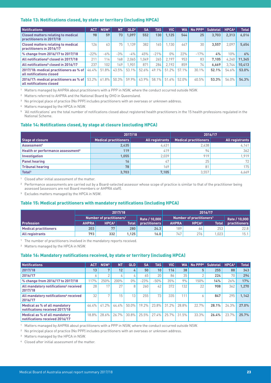#### <span id="page-22-0"></span>Table 13: Notifications closed, by state or territory (including HPCA)

| <b>Notifications</b>                                                  | <b>ACT</b> | NSW <sup>1</sup> | <b>NT</b> | QLD <sup>2</sup> | <b>SA</b> | <b>TAS</b> | <b>VIC</b> | <b>WA</b> | $No$ PPP <sup>3</sup> | <b>Subtotal</b> | HPCA <sup>4</sup> | <b>Total</b> |
|-----------------------------------------------------------------------|------------|------------------|-----------|------------------|-----------|------------|------------|-----------|-----------------------|-----------------|-------------------|--------------|
| <b>Closed matters relating to medical</b><br>practitioners in 2017/18 | 98         | 59               | 73        | 1.097            | 552       | 130        | 1.125      | 544       | 25                    | 3.703           | 2.313             | 6.016        |
| <b>Closed matters relating to medical</b><br>practitioners in 2016/17 | 126        | 63               | 75        | 1.139            | 382       | 165        | 1.130      | 447       | 30                    | 3.557           | 2.097             | 5.654        |
| % change from 2016/17 to 2017/18                                      | $-22%$     | $-6\%$           | $-3%$     | $-4\%$           | 45%       | $-21%$     | $0\%$      | 22%       | $-17%$                | 4%              | 10%               | 6%           |
| All notifications <sup>5</sup> closed in 2017/18                      | 211        | 114.             | 168       | 2.065            | 1.049     | 265        | 2.197      | 953       | 83                    | 7.105           | 4,240             | 11,345       |
| All notifications <sup>5</sup> closed in 2016/17                      | 237        | 102              | 149       | .901             | 871       | 284        | 2.192      | 859       | 74                    | 6.669           | 3.744             | 10.413       |
| 2017/18: medical practitioners as % of<br>all notifications closed    | 46.4%      | 51.8%            | 43.5%     | $53.1\%$         | 52.6%     | 49.1%      | 51.2%      | 57 1%     | 30.1%                 | 52.1%           | 54.6%             | 53.0%        |
| 2016/17: medical practitioners as % of<br>all notifications closed    | 53.2%      | 61.8%            | 50.3%     | $59.9\%$         | 43.9%     | 58.1%      | 51.6%      | 52.0%     | 40.5%                 | 53.3%           | 56.0%             | 54.3%        |

1 Matters managed by AHPRA about practitioners with a PPP in NSW, where the conduct occurred outside NSW.

2 Matters referred to AHPRA and the National Board by OHO in Queensland.

<sup>3</sup> No principal place of practice (No PPP) includes practitioners with an overseas or unknown address.

4 Matters managed by the HPCA in NSW.

5 'All notifications' are the total number of notifications closed about registered health practitioners in the 15 health professions regulated in the National Scheme.

#### Table 14: Notifications closed, by stage at closure (excluding HPCA)

|                                               | 2017/18               |                 | 2016/17                      |                 |
|-----------------------------------------------|-----------------------|-----------------|------------------------------|-----------------|
| Stage at closure                              | Medical practitioners | All registrants | <b>Medical practitioners</b> | All registrants |
| Assessment <sup>1</sup>                       | 2,435                 | 4.431           | 2.438                        | 4,141           |
| Health or performance assessment <sup>2</sup> | 119                   | 419             | 94                           | 362             |
| <b>Investigation</b>                          | 1.055                 | 2.039           | 919                          | 1.919           |
| <b>Panel hearing</b>                          | 16                    | 47              | 25                           | 72              |
| <b>Tribunal hearing</b>                       | 78                    | 169             | 81                           | 175             |
| <b>Total<sup>3</sup></b>                      | 3,703                 | 7,105           | 3.557                        | 6,669           |

1 Closed after initial assessment of the matter.

<sup>2</sup> Performance assessments are carried out by a Board-selected assessor whose scope of practice is similar to that of the practitioner being assessed (assessors are not Board members or AHPRA staff).

3 Excludes matters managed by the HPCA in NSW.

#### Table 15: Medical practitioners with mandatory notifications (including HPCA)

|                              |              |                                      | 2017/18 |               |                  |                                      | 2016/17      |               |
|------------------------------|--------------|--------------------------------------|---------|---------------|------------------|--------------------------------------|--------------|---------------|
|                              |              | Number of practitioners <sup>1</sup> |         | Rate / 10.000 |                  | Number of practitioners <sup>1</sup> |              | Rate / 10,000 |
| <b>Profession</b>            | <b>AHPRA</b> | HPCA2                                | Total   | practitioners | <b>AHPRA</b>     | HPCA <sup>2</sup>                    | <b>Total</b> | practitioners |
| <b>Medical practitioners</b> | 203          | 77                                   | 280     | 24.3          | 189 <sub>1</sub> | 64                                   | 253          | 22.8          |
| <b>All registrants</b>       | 793          | 332                                  | 1.125   | 16.0          | 747              | 276                                  | .023         | 15.1          |

<sup>1</sup> The number of practitioners involved in the mandatory reports received.

2 Matters managed by the HPCA in NSW.

#### Table 16: Mandatory notifications received, by state or territory (including HPCA)

| Notifications                                                   | <b>ACT</b> | NSW <sup>1</sup> | <b>NT</b> | <b>QLD</b> | <b>SA</b> | <b>TAS</b> | VIC   | WA I  | $No$ PPP <sup>2</sup> | Subtotal | HPCA <sup>3</sup> | <b>Total</b> |
|-----------------------------------------------------------------|------------|------------------|-----------|------------|-----------|------------|-------|-------|-----------------------|----------|-------------------|--------------|
| 2017/18                                                         | 13         |                  | 12        |            | 50        | 10         | 116   | 38    | 5                     | 255      | 88                | 343          |
| 2016/17                                                         | Ò          |                  |           |            | 65        | 20         | 86    | 35    |                       | 224      | 70                | 294          |
| % change from 2016/17 to 2017/18                                | 17%        | 250%             | 200%      | $0\%$      | $-23%$    | $-50%$     | 35%   | 9%    | 150%                  | 14%      | 26%               | 17%          |
| All mandatory notifications <sup>4</sup> received<br>2017/18    | 28         | 17               | 27        |            | 260       | 42         | 372   | 132   | 22                    | 908      | 362               | 1.270        |
| All mandatory notifications <sup>4</sup> received<br>2016/17    | 32         | $\overline{ }$   | 15        | 13         | 255       | 73         | 335   | 111   |                       | 847      | 295               | 1.142        |
| Medical as % of all mandatory<br>notifications received 2017/18 | 46.4%      | 41.2%            | 44.4%     | $50.0\%$   | 19.2%     | 23.8%      | 31.2% | 28.8% | 22.7%                 | 28.1%    | 24.3%             | 27.0%        |
| Medical as % of all mandatory<br>notifications received 2016/17 | 18.8%      | 28.6%            | 26.7%     | $30.8\%$   | 25.5%     | 27.4%      | 25.7% | 31.5% | 33.3%                 | 26.4%    | 23.7%             | 25.7%        |

1 Matters managed by AHPRA about practitioners with a PPP in NSW, where the conduct occurred outside NSW.

<sup>2</sup> No principal place of practice (No PPP) includes practitioners with an overseas or unknown address.

3 Matters managed by the HPCA in NSW.

4 Closed after initial assessment of the matter.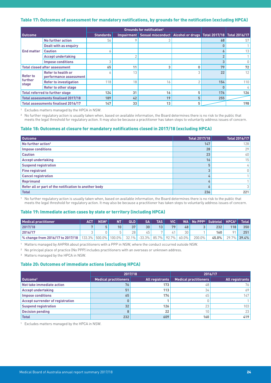#### <span id="page-23-0"></span>Table 17: Outcomes of assessment for mandatory notifications, by grounds for the notification (excluding HPCA)

|                   |                                              |                  |            | <b>Grounds for notification<sup>1</sup></b>                          |          |     |     |
|-------------------|----------------------------------------------|------------------|------------|----------------------------------------------------------------------|----------|-----|-----|
| <b>Outcome</b>    |                                              | <b>Standards</b> | Impairment | Sexual misconduct   Alcohol or drugs   Total 2017/18   Total 2016/17 |          |     |     |
|                   | No further action                            | 56               |            | 3                                                                    |          | 68  | 57  |
|                   | Dealt with as enquiry                        |                  |            |                                                                      |          |     |     |
| <b>End matter</b> | <b>Caution</b>                               |                  |            |                                                                      |          | 6   | 13  |
|                   | <b>Accept undertaking</b>                    |                  |            |                                                                      |          |     |     |
|                   | <b>Impose conditions</b>                     |                  |            |                                                                      |          | 3   |     |
|                   | <b>Total closed after assessment</b>         | 65               | 11         | 3                                                                    | ۵        | 79  | 72  |
| <b>Refer to</b>   | Refer to health or<br>performance assessment |                  | 13         |                                                                      | 3        | 22  | 12  |
| further<br>stage  | <b>Refer to investigation</b>                | 118              | 18         | 16                                                                   | $\Omega$ | 154 | 110 |
|                   | Refer to other stage                         |                  |            |                                                                      |          | 0   | 4   |
|                   | <b>Total referred to further stage</b>       | 124              | 31         | 16                                                                   | 5        | 176 | 126 |
|                   | <b>Total assessments finalised 2017/18</b>   | 189              | 42         | 19                                                                   | 5        | 255 |     |
|                   | <b>Total assessments finalised 2016/17</b>   | 147              | 33         | 13                                                                   | 5        |     | 198 |

1 Excludes matters managed by the HPCA in NSW.

<sup>2</sup> No further regulatory action is usually taken when, based on available information, the Board determines there is no risk to the public that meets the legal threshold for regulatory action. It may also be because a practitioner has taken steps to voluntarily address issues of concern.

#### Table 18: Outcomes at closure for mandatory notifications closed in 2017/18 (excluding HPCA)

| <b>Outcome</b>                                        | Total 2017/18 | <b>Total 2016/17</b> |
|-------------------------------------------------------|---------------|----------------------|
| No further action <sup>1</sup>                        | 147           | 128                  |
| <b>Impose conditions</b>                              | 28            | 29                   |
| <b>Caution</b>                                        | 23            | 40                   |
| <b>Accept undertaking</b>                             | 16            | 15                   |
| <b>Suspend registration</b>                           | 5             | 4                    |
| <b>Fine registrant</b>                                |               |                      |
| <b>Cancel registration</b>                            | 4             |                      |
| <b>Reprimand</b>                                      | 4             |                      |
| Refer all or part of the notification to another body | ۰             |                      |
| <b>Total</b>                                          | 236           | 221                  |

1 No further regulatory action is usually taken when, based on available information, the Board determines there is no risk to the public that meets the legal threshold for regulatory action. It may also be because a practitioner has taken steps to voluntarily address issues of concern.

#### Table 19: Immediate action cases by state or territory (including HPCA)

| <b>Medical practitioner</b>      | <b>ACT</b>               | NSW <sup>1</sup> | <b>AT</b>       | QLD   | <b>SA</b> | TAS I    | <b>VIC</b> |       |        | VA   No PPP2   Subtotal   . | HPCA <sup>3</sup> | <b>Total</b> |
|----------------------------------|--------------------------|------------------|-----------------|-------|-----------|----------|------------|-------|--------|-----------------------------|-------------------|--------------|
| 2017/18                          |                          |                  | 10 <sup>°</sup> | 37    | 30        | 13       | 79         | 48    |        | 232                         | 118               | 350          |
| 2016/17                          |                          |                  |                 | 28    | 45        |          |            | 30    |        | 160                         | O <sub>1</sub>    | 251          |
| % change from 2016/17 to 2017/18 | 133.3%   500.0%   100.0% |                  |                 | 32.1% | $-33.3\%$ | $85.7\%$ | $92.7\%$   | 60.0% | 200.0% | 45.0%                       |                   | 29.7% 39.4%  |

1 Matters managed by AHPRA about practitioners with a PPP in NSW, where the conduct occurred outside NSW.

2 No principal place of practice (No PPP) includes practitioners with an overseas or unknown address.

3 Matters managed by the HPCA in NSW.

#### Table 20: Outcomes of immediate actions (excluding HPCA)

|                                         | 2017/18               |                 | 2016/17               |                        |
|-----------------------------------------|-----------------------|-----------------|-----------------------|------------------------|
| Outcome <sup>1</sup>                    | Medical practitioners | All registrants | Medical practitioners | <b>All registrants</b> |
| Not take immediate action               | 76                    | 173             | 48                    | 76                     |
| <b>Accept undertaking</b>               | 51                    | 113             | 34                    | 69                     |
| <b>Impose conditions</b>                | 65                    | 174             | 45                    | 147                    |
| <b>Accept surrender of registration</b> |                       |                 |                       |                        |
| <b>Suspend registration</b>             | 32                    | 126             | $\cap$<br>ΖJ          | 103                    |
| <b>Decision pending</b>                 |                       | 22              |                       | 23                     |
| <b>Total</b>                            | 232                   | 609             | 160                   | 419                    |

1 Excludes matters managed by the HPCA in NSW.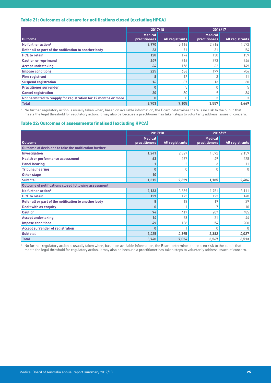#### <span id="page-24-0"></span>Table 21: Outcomes at closure for notifications closed (excluding HPCA)

|                                                                 |                                        | 2017/18                | 2016/17                                |                        |
|-----------------------------------------------------------------|----------------------------------------|------------------------|----------------------------------------|------------------------|
| <b>Outcome</b>                                                  | <b>Medical</b><br><b>practitioners</b> | <b>All registrants</b> | <b>Medical</b><br><b>practitioners</b> | <b>All registrants</b> |
| No further action <sup>1</sup>                                  | 2,970                                  | 5,116                  | 2,714                                  | 4,572                  |
| Refer all or part of the notification to another body           | 23                                     | 71                     | 31                                     | 54                     |
| <b>HCE</b> to retain                                            | 128                                    | 174                    | 130                                    | 159                    |
| <b>Caution or reprimand</b>                                     | 249                                    | 816                    | 393                                    | 946                    |
| <b>Accept undertaking</b>                                       | 64                                     | 158                    | 62                                     | 149                    |
| <b>Impose conditions</b>                                        | 225                                    | 686                    | 199                                    | 706                    |
| <b>Fine registrant</b>                                          | 8                                      | 12                     | 3                                      | 11                     |
| <b>Suspend registration</b>                                     | 16                                     | 37                     | 13                                     | 30                     |
| <b>Practitioner surrender</b>                                   | 0                                      | 5                      |                                        | 5                      |
| <b>Cancel registration</b>                                      | 20                                     | 30                     | O                                      | 34                     |
| Not permitted to reapply for registration for 12 months or more |                                        |                        | 3                                      | 3                      |
| <b>Total</b>                                                    | 3,703                                  | 7,105                  | 3,557                                  | 6,669                  |

1 No further regulatory action is usually taken when, based on available information, the Board determines there is no risk to the public that meets the legal threshold for regulatory action. It may also be because a practitioner has taken steps to voluntarily address issues of concern.

#### Table 22: Outcomes of assessments finalised (excluding HPCA)

|                                                       | 2017/18                                |                        | 2016/17                         |                        |
|-------------------------------------------------------|----------------------------------------|------------------------|---------------------------------|------------------------|
| <b>Outcome</b>                                        | <b>Medical</b><br><b>practitioners</b> | <b>All registrants</b> | <b>Medical</b><br>practitioners | <b>All registrants</b> |
| Outcome of decisions to take the notification further |                                        |                        |                                 |                        |
| Investigation                                         | 1,241                                  | 2,327                  | 1,092                           | 2,159                  |
| <b>Health or performance assessment</b>               | 63                                     | 267                    | 49                              | 228                    |
| <b>Panel hearing</b>                                  |                                        | 2                      | 3                               | 11                     |
| <b>Tribunal hearing</b>                               | $\mathbf{0}$                           | 0                      | 0                               | $\Omega$               |
| Other stage                                           | 10                                     |                        |                                 |                        |
| <b>Subtotal</b>                                       | 1,315                                  | 2,629                  | 1,185                           | 2,486                  |
| Outcome of notifications closed following assessment  |                                        |                        |                                 |                        |
| No further action <sup>1</sup>                        | 2,133                                  | 3,589                  | 1,951                           | 3,111                  |
| <b>HCE</b> to retain                                  | 127                                    | 173                    | 123                             | 148                    |
| Refer all or part of the notification to another body | 8                                      | 18                     | 19                              | 29                     |
| Dealt with as enquiry                                 | $\mathbf{0}$                           |                        | 7                               | 10                     |
| <b>Caution</b>                                        | 94                                     | 417                    | 207                             | 485                    |
| <b>Accept undertaking</b>                             | 14                                     | 28                     | 21                              | 44                     |
| <b>Impose conditions</b>                              | 49                                     | 168                    | 54                              | 200                    |
| <b>Accept surrender of registration</b>               | $\mathbf{0}$                           |                        | n                               | 0                      |
| <b>Subtotal</b>                                       | 2,425                                  | 4,395                  | 2,382                           | 4,027                  |
| <b>Total</b>                                          | 3,740                                  | 7,024                  | 3,567                           | 6,513                  |

1 No further regulatory action is usually taken when, based on available information, the Board determines there is no risk to the public that meets the legal threshold for regulatory action. It may also be because a practitioner has taken steps to voluntarily address issues of concern.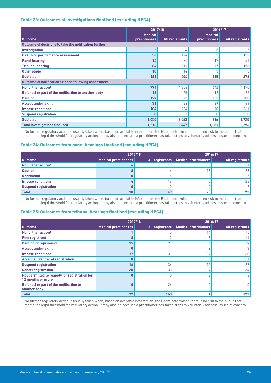#### <span id="page-25-0"></span>Table 23: Outcomes of investigations finalised (excluding HPCA)

|                                                       | 2017/18                                |                 | 2016/17                                |                        |
|-------------------------------------------------------|----------------------------------------|-----------------|----------------------------------------|------------------------|
| <b>Outcome</b>                                        | <b>Medical</b><br><b>practitioners</b> | All registrants | <b>Medical</b><br><b>practitioners</b> | <b>All registrants</b> |
| Outcome of decisions to take the notification further |                                        |                 |                                        |                        |
| Investigation                                         | $\overline{2}$                         | 4               | 5                                      | 7                      |
| <b>Health or performance assessment</b>               | 56                                     | 144             | 63                                     | 152                    |
| <b>Panel hearing</b>                                  | 14                                     | 31              | 17                                     | 61                     |
| <b>Tribunal hearing</b>                               | 84                                     | 211             | 77                                     | 153                    |
| Other stage                                           | 10                                     | 14              | 3                                      | 3                      |
| <b>Subtotal</b>                                       | 166                                    | 404             | 165                                    | 376                    |
| Outcome of notifications closed following assessment  |                                        |                 |                                        |                        |
| No further action <sup>1</sup>                        | 774                                    | 1,306           | 642                                    | 1,170                  |
| Refer all or part of the notification to another body | 12                                     | 25              | 12                                     | 25                     |
| <b>Caution</b>                                        | 129                                    | 343             | 163                                    | 400                    |
| <b>Accept undertaking</b>                             | 31                                     | 84              | 29                                     | 64                     |
| <b>Impose conditions</b>                              | 104                                    | 284             | 70                                     | 261                    |
| <b>Suspend registration</b>                           | $\mathbf{0}$                           |                 | 0                                      | 0                      |
| <b>Subtotal</b>                                       | 1,050                                  | 2,043           | 916                                    | 1,920                  |
| <b>Total investigations finalised</b>                 | 1,216                                  | 2,447           | 1,081                                  | 2,296                  |

1 No further regulatory action is usually taken when, based on available information, the Board determines there is no risk to the public that meets the legal threshold for regulatory action. It may also be because a practitioner has taken steps to voluntarily address issues of concern.

#### Table 24: Outcomes from panel hearings finalised (excluding HPCA)

|                                | 2017/18               |                 | 2016/17               |                 |
|--------------------------------|-----------------------|-----------------|-----------------------|-----------------|
| <b>Outcome</b>                 | Medical practitioners | All registrants | Medical practitioners | All registrants |
| No further action <sup>1</sup> |                       |                 |                       |                 |
| <b>Caution</b>                 |                       |                 |                       | 28              |
| <b>Reprimand</b>               |                       |                 |                       | 5 <sup>1</sup>  |
| <b>Impose conditions</b>       |                       |                 |                       | 26              |
| <b>Suspend registration</b>    |                       |                 |                       |                 |
| <b>Total</b>                   | 18                    | 49              | 25                    | 72              |

1 No further regulatory action is usually taken when, based on available information, the Board determines there is no risk to the public that meets the legal threshold for regulatory action. It may also be because a practitioner has taken steps to voluntarily address issues of concern.

#### Table 25: Outcomes from tribunal hearings finalised (excluding HPCA)

|                                                                    | 2017/18               |                        | 2016/17                      |                        |  |  |  |
|--------------------------------------------------------------------|-----------------------|------------------------|------------------------------|------------------------|--|--|--|
| <b>Outcome</b>                                                     | Medical practitioners | <b>All registrants</b> | <b>Medical practitioners</b> | <b>All registrants</b> |  |  |  |
| No further action <sup>1</sup>                                     |                       |                        | L.                           | 15                     |  |  |  |
| <b>Fine registrant</b>                                             | 8                     | 12                     |                              |                        |  |  |  |
| <b>Caution or reprimand</b>                                        | 15                    | 27                     |                              | 19                     |  |  |  |
| <b>Accept undertaking</b>                                          | 0                     |                        |                              |                        |  |  |  |
| <b>Impose conditions</b>                                           | 17                    | 31                     | 34                           | 60                     |  |  |  |
| <b>Accept surrender of registration</b>                            | 0                     |                        |                              |                        |  |  |  |
| <b>Suspend registration</b>                                        | 16                    | 36                     | 12                           | 27                     |  |  |  |
| <b>Cancel registration</b>                                         | 20                    | 30                     |                              | 34                     |  |  |  |
| Not permitted to reapply for registration for<br>12 months or more | 0                     |                        |                              |                        |  |  |  |
| Refer all or part of the notification to<br>another body           | 0                     | 26                     |                              |                        |  |  |  |
| <b>Total</b>                                                       | 77                    | 168                    | 81                           | 173                    |  |  |  |

<sup>1</sup> No further regulatory action is usually taken when, based on available information, the Board determines there is no risk to the public that meets the legal threshold for regulatory action. It may also be because a practitioner has taken steps to voluntarily address issues of concern.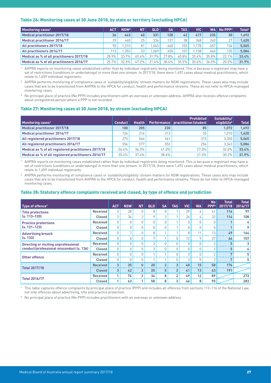#### <span id="page-26-0"></span>Table 26: Monitoring cases at 30 June 2018, by state or territory (excluding HPCA)

| <b>Monitoring cases<sup>1</sup></b>       | <b>ACT</b>       | NSW <sup>2</sup> | <b>NT</b> | <b>QLD</b> | <b>SA</b> | TAS I | <b>VIC</b> | <b>WA</b> | $No$ PPP $3$     | Total <sup>4</sup> |
|-------------------------------------------|------------------|------------------|-----------|------------|-----------|-------|------------|-----------|------------------|--------------------|
| Medical practitioner 2017/18              | 26               | 443              | 40        | 331        | 128       | 42    | 417        | 235       | 30               | 1.692              |
| Medical practitioner 2016/17              | 29               | 440              | 25        | 336        | 137       | 38    | 348        | 2401      | 27               | 1.620              |
| All practitioners 2017/18                 | 90               | .315             | 81        | .045       | 460       | 103   | .178       | 657       | 136 <sub>1</sub> | 5.065              |
| All practitioners 2016/17                 | 113 <sub>1</sub> | .353             | 53        | .069       | 450       | 107   | .138       | 666       | 135              | 5.084              |
| Medical as % of all practitioners 2017/18 | 28.9%            | 33.7%            | 49.4%     | 31.7%      | 27.8%     | 40.8% | 35.4%      | 35.8%     | 22.1%            | 33.4%              |
| Medical as % of all practitioners 2016/17 | 25.7%            | 32.5%            | 47.2%     | 31.4%      | 30.4%     | 35.5% | 30.6%      | 36.0%     | 20.0%            | 31.9%              |

1 AHPRA reports on monitoring cases established rather than by individual registrants being monitored. This is because a registrant may have a set of restrictions (conditions or undertakings) in more than one stream. In 2017/18, there were 1,692 cases about medical practitioners, which relate to 1,659 individual registrants.

<sup>2</sup> AHPRA performs monitoring of compliance cases in 'suitability/eligibility' stream matters for NSW registrations. These cases also may include cases that are to be transitioned from AHPRA to the HPCA for conduct, health and performance streams. These do not refer to HPCA-managed monitoring cases.

<sup>3</sup> No principal place of practice (No PPP) includes practitioners with an overseas or unknown address. AHPRA also receives offence complaints about unregistered person where a PPP is not recorded.

#### Table 27: Monitoring cases at 30 June 2018, by stream (excluding HPCA)

| Monitoring cases <sup>1</sup>                        | <b>Conduct</b> | <b>Health</b> |                  | <b>Prohibited</b><br>Performance   practitioner/student | Suitability/<br>eligibility <sup>2</sup> | <b>Total</b> |
|------------------------------------------------------|----------------|---------------|------------------|---------------------------------------------------------|------------------------------------------|--------------|
| <b>Medical practitioner 2017/18</b>                  | 100            | 205           | 230              | 85                                                      | 1.072                                    | 1.692        |
| <b>Medical practitioner 2016/17</b>                  | 126            | 216           | 213 <sub>1</sub> | 55                                                      | 1.010                                    | 1,620        |
| All registered practitioners 2017/18                 | 275            | 564           | 561              | 315                                                     | 3.350                                    | 5.065        |
| All registered practitioners 2016/17                 | 356            | 577           | 552              | 256                                                     | 3.343                                    | 5.084        |
| Medical as % of all registered practitioners 2017/18 | 36.4%          | 36.3%         | 41.0%            | 27.0%                                                   | 32.0%                                    | 33.4%        |
| Medical as % of all registered practitioners 2016/17 | 35.4%          | 37.4%         | 38.6%            | 21.5%                                                   | 30.2%                                    | 31.9%        |

1 AHPRA reports on monitoring cases established rather than by individual registrants being monitored. This is because a registrant may have a set of restrictions (conditions or undertakings) in more than one stream. In 2017/18, there were 1,692 cases about medical practitioners, which relate to 1,659 individual registrants.

<sup>2</sup> AHPRA performs monitoring of compliance cases in 'suitability/eligibility' stream matters for NSW registrations. These cases also may include cases that are to be transitioned from AHPRA to the HPCA for conduct, health and performance streams. These do not refer to HPCA-managed monitoring cases.

#### Table 28: Statutory offence complaints received and closed, by type of offence and jurisdiction

| Type of offence <sup>1</sup>                |                 | <b>ACT</b> | <b>NSW</b>     | <b>NT</b>      | <b>QLD</b>      | <b>SA</b>      | <b>TAS</b>     | <b>VIC</b> | <b>WA</b> | <b>No</b><br>PPP <sub>2</sub> | <b>Total</b><br>2017/18 | <b>Total</b><br>2016/17 |
|---------------------------------------------|-----------------|------------|----------------|----------------|-----------------|----------------|----------------|------------|-----------|-------------------------------|-------------------------|-------------------------|
| <b>Title protections</b>                    | <b>Received</b> | 3          | 28             | $\bigcap$      | 8               |                |                | 29         | 4         | 41                            | 114                     | 97                      |
| $(s, 113 - 120)$                            | Closed          | 3          | 34             | $\overline{2}$ | 9               | 3              |                | 26         | 4         | 32                            | 114                     | 108                     |
| <b>Practice protections</b>                 | <b>Received</b> | $\Omega$   | N              | U              |                 |                |                | $\Omega$   | $\Omega$  |                               |                         | 4                       |
| $(s, 121 - 123)$                            | Closed          | 0          | 0              | 0              | O.              | <sup>0</sup>   |                | $\Omega$   | 0         | U                             | $\mathbf{A}$            | 9                       |
| <b>Advertising breach</b>                   | <b>Received</b> | $\Omega$   | $\overline{ }$ | $\Omega$       | 8               |                |                | 8          | 11        | 13                            | 49                      | 164                     |
| (s. 133)                                    | <b>Closed</b>   | $\Omega$   | 8              | $\Omega$       | 7               |                | $\Omega$       | 12         | 9         | 27                            | 64                      | 157                     |
| <b>Directing or inciting unprofessional</b> | Received        | $\cup$     | $\cap$         | $\Omega$       | 3               |                |                | $\cup$     | $\Omega$  | $\sim$                        | 5                       | 3                       |
| conduct/professional misconduct (s. 136)    | <b>Closed</b>   | $\Omega$   | 0              | 0              | 3               |                |                | $\Omega$   | 0         | $\overline{2}$                | 5                       | 4                       |
| Other offence                               | Received        | $\Omega$   | U              | $\Omega$       |                 |                |                | 3          | $\Omega$  | $\sim$                        | $\mathbf{r}$            | 5                       |
|                                             | Closed          | 0          | <sup>0</sup>   | 0              |                 |                |                | 3          | 0         | $\bigcap$                     | 7                       | 5                       |
| <b>Total 2017/18</b>                        | <b>Received</b> | 3          | 35             | $\mathbf{0}$   | 20 <sup>°</sup> | $\overline{2}$ | 3              | 40         | 15        | 58                            | 176                     |                         |
|                                             | <b>Closed</b>   | 3          | 42             | $\overline{2}$ | 20              | 5              | $\overline{2}$ | 41         | 13        | 63                            | 191                     |                         |
|                                             | <b>Received</b> |            | 76             | $\overline{2}$ | 34              | 8              | $\overline{2}$ | 49         | 12        | 89                            |                         | 273                     |
| <b>Total 2016/17</b>                        | <b>Closed</b>   | 1          | 63             |                | 58              | 8              | 3              | 46         | 8         | 95                            |                         | 283                     |

<sup>1</sup> This table captures offence complaints by principal place of practice (PPP) and includes all offences from sections 113-116 of the National Law, not only offences about advertising, title and practice protection.

2 No principal place of practice (No PPP) includes practitioners with an overseas or unknown address.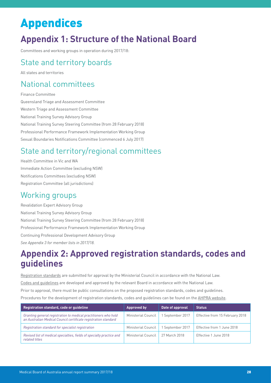# <span id="page-27-0"></span>Appendices

# **Appendix 1: Structure of the National Board**

Committees and working groups in operation during 2017/18:

### State and territory boards

All states and territories

### National committees

Finance Committee Queensland Triage and Assessment Committee Western Triage and Assessment Committee National Training Survey Advisory Group National Training Survey Steering Committee (from 28 February 2018) Professional Performance Framework Implementation Working Group Sexual Boundaries Notifications Committee (commenced 6 July 2017)

# State and territory/regional committees

Health Committee in Vic and WA Immediate Action Committee (excluding NSW) Notifications Committees (excluding NSW) Registration Committee (all jurisdictions)

### Working groups

Revalidation Expert Advisory Group National Training Survey Advisory Group National Training Survey Steering Committee (from 28 February 2018) Professional Performance Framework Implementation Working Group Continuing Professional Development Advisory Group *See Appendix 3 for member lists in 2017/18.*

## **Appendix 2: Approved registration standards, codes and guidelines**

[Registration standards](https://www.medicalboard.gov.au/Registration-Standards.aspx) are submitted for approval by the Ministerial Council in accordance with the National Law. [Codes and guidelines](https://www.medicalboard.gov.au/codes-guidelines-policies/) are developed and approved by the relevant Board in accordance with the National Law. Prior to approval, there must be public consultations on the proposed registration standards, codes and guidelines. Procedures for the development of registration standards, codes and guidelines can be found on the [AHPRA website](https://www.ahpra.gov.au/publications/procedures).

| Registration standard, code or quideline                                                                                           | <b>Approved by</b>         | Date of approval | <b>Status</b>                   |
|------------------------------------------------------------------------------------------------------------------------------------|----------------------------|------------------|---------------------------------|
| Granting general registration to medical practitioners who hold<br>an Australian Medical Council certificate registration standard | <b>Ministerial Council</b> | 1 September 2017 | Effective from 15 February 2018 |
| Registration standard for specialist registration                                                                                  | Ministerial Council        | 1 September 2017 | Effective from 1 June 2018      |
| Revised list of medical specialties, fields of specialty practice and<br>related titles                                            | Ministerial Council        | 27 March 2018    | Effective 1 June 2018           |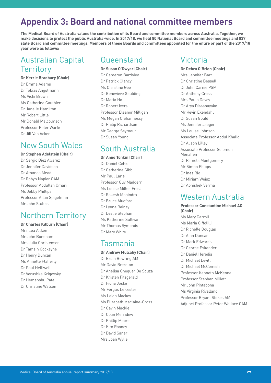# <span id="page-28-0"></span>**Appendix 3: Board and national committee members**

**The Medical Board of Australia values the contribution of its Board and committee members across Australia. Together, we make decisions to protect the public Australia-wide. In 2017/18, we held 80 National Board and committee meetings and 837 state Board and committee meetings. Members of these Boards and committees appointed for the entire or part of the 2017/18 year were as follows:**

### Australian Capital **Territory**

#### **Dr Kerrie Bradbury (Chair)**

Dr Emma Adams Dr Tobias Angstmann Ms Vicki Brown Ms Catherine Gauthier Dr Janelle Hamilton Mr Robert Little Mr Donald Malcolmson Professor Peter Warfe Dr Jill Van Acker

### New South Wales

**Dr Stephen Adelstein (Chair)** Dr Sergio Diez Alvarez Dr Jennifer Davidson Dr Amanda Mead Dr Robyn Napier OAM Professor Abdullah Omari Ms Jebby Phillips Professor Allan Spigelman Mr John Stubbs

### Northern Territory

#### **Dr Charles Kilburn (Chair)**

Mrs Lea Aitken Mr John Boneham Mrs Julia Christensen Dr Tamsin Cockayne Dr Henry Duncan Ms Annette Flaherty Dr Paul Helliwell Dr Verushka Krigovsky Dr Hemanshu Patel Dr Christine Watson

### Queensland

**Dr Susan O'Dwyer (Chair)** Dr Cameron Bardsley Dr Patrick Clancy Ms Christine Gee Dr Genevieve Goulding Dr Maria Ho Dr Robert Ivers Professor Eleanor Milligan Ms Megan O'Shannessy Dr Philip Richardson Mr George Seymour Dr Susan Young

### South Australia

**Dr Anne Tonkin (Chair)** Dr Daniel Cehic Dr Catherine Gibb Mr Paul Laris Professor Guy Maddern Ms Louise Miller-Frost Dr Rakesh Mohindra Dr Bruce Mugford Dr Lynne Rainey Dr Leslie Stephan Ms Katherine Sullivan Mr Thomas Symonds Dr Mary White

### Tasmania

**Dr Andrew Mulcahy (Chair)** Dr Brian Bowring AM Mr David Brereton Dr Anelisa Chequer De Souza Dr Kristen Fitzgerald Dr Fiona Joske Mr Fergus Leicester Ms Leigh Mackey Ms Elizabeth Maclaine-Cross Dr Gavin Mackie Dr Colin Merridew Dr Phillip Moore Dr Kim Rooney Dr David Saner Mrs Joan Wylie

### Victoria

**Dr Debra O'Brien (Chair)** Mrs Jennifer Barr Dr Christine Bessell Dr John Carnie PSM Dr Anthony Cross Mrs Paula Davey Dr Arya Dissanayake Mr Kevin Ekendahl Dr Susan Gould Ms Jennifer Jaeger Ms Louise Johnson Associate Professor Abdul Khalid Dr Alison Lilley Associate Professor Solomon Menahem Dr Pamela Montgomery Mr Simon Phipps Dr Ines Rio Dr Miriam Weisz Dr Abhishek Verma

### Western Australia

**Professor Constantine Michael AO (Chair)** Ms Mary Carroll Ms Maria Ciffolilli Dr Richelle Douglas Dr Alan Duncan Dr Mark Edwards Dr George Eskander Dr Daniel Heredia Dr Michael Levitt Dr Michael McComish Professor Kenneth McKenna Professor Stephan Millett Mr John Pintabona Ms Virginia Rivalland Professor Bryant Stokes AM Adjunct Professor Peter Wallace OAM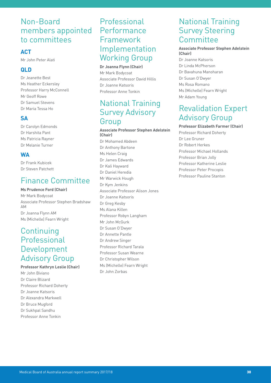### Non-Board members appointed to committees

#### **ACT**

Mr John Peter Alati

#### **QLD**

Dr Jeanette Best Ms Heather Eckersley Professor Harry McConnell Mr Geoff Rowe Dr Samuel Stevens Dr Maria Tessa Ho

#### **SA**

Dr Carolyn Edmonds Dr Harshita Pant Ms Patricia Rayner Dr Melanie Turner

#### **WA**

Dr Frank Kubicek Dr Steven Patchett

### Finance Committee

#### **Ms Prudence Ford (Chair)**

Mr Mark Bodycoat Associate Professor Stephen Bradshaw AM Dr Joanna Flynn AM Ms (Michelle) Fearn Wright

### **Continuing** Professional Development Advisory Group

**Professor Kathryn Leslie (Chair)** Mr John Biviano Dr Claire Blizard Professor Richard Doherty Dr Joanne Katsoris Dr Alexandra Markwell Dr Bruce Mugford Dr Sukhpal Sandhu Professor Anne Tonkin

### **Professional** Performance Framework Implementation Working Group

**Dr Joanna Flynn (Chair)** Mr Mark Bodycoat Associate Professor David Hillis Dr Joanne Katsoris Professor Anne Tonkin

### National Training Survey Advisory Group

#### **Associate Professor Stephen Adelstein (Chair)**

Dr Mohamed Abdeen Dr Anthony Bartone Ms Helen Craig Dr James Edwards Dr Kali Hayward Dr Daniel Heredia Mr Warwick Hough Dr Kym Jenkins Associate Professor Alison Jones Dr Joanne Katsoris Dr Greg Kesby Ms Alana Killen Professor Robyn Langham Mr John McGurk Dr Susan O'Dwyer Dr Annette Pantle Dr Andrew Singer Professor Richard Tarala Professor Susan Wearne Dr Christopher Wilson Ms (Michelle) Fearn Wright Dr John Zorbas

### National Training Survey Steering **Committee**

#### **Associate Professor Stephen Adelstein (Chair)**

Dr Joanne Katsoris Dr Linda McPherson Dr Bavahuna Manoharan Dr Susan O'Dwyer Ms Rosa Romano Ms (Michelle) Fearn Wright Mr Adam Young

### Revalidation Expert Advisory Group

**Professor Elizabeth Farmer (Chair)** Professor Richard Doherty Dr Lee Gruner Dr Robert Herkes Professor Michael Hollands Professor Brian Jolly Professor Katherine Leslie Professor Peter Procopis Professor Pauline Stanton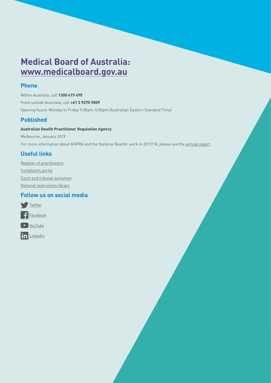# **Medical Board of Australia: [www.medicalboard.gov.au](http://www.medicalboard.gov.au)**

#### **Phone**

Within Australia, call 1300 419 495 From outside Australia, call +61 3 9275 9009 Opening hours: Monday to Friday 9:00am–5:00pm (Australian Eastern Standard Time)

#### **Published**

#### Australian Health Practitioner Regulation Agency

Melbourne, January 2019 For more information about AHPRA and the National Boards' work in 2017/18, please see the [annual report](http://www.ahpra.gov.au/annualreport/2018).

### **Useful links**

[Register of practitioners](http://www.ahpra.gov.au/registration/registers-of-practitioners) [Complaints portal](http://www.ahpra.gov.au/about-ahpra/complaints) [Court and tribunal outcomes](http://www.ahpra.gov.au/Publications/Tribunal-Decisions) [National restrictions library](http://www.ahpra.gov.au/registration/monitoring-and-compliance/national-restrictions-library)

#### **Follow us on social media**

![](_page_30_Picture_9.jpeg)

![](_page_30_Picture_10.jpeg)

in [LinkedIn](https://au.linkedin.com/company/australian-health-practitioner-regulation-agency)